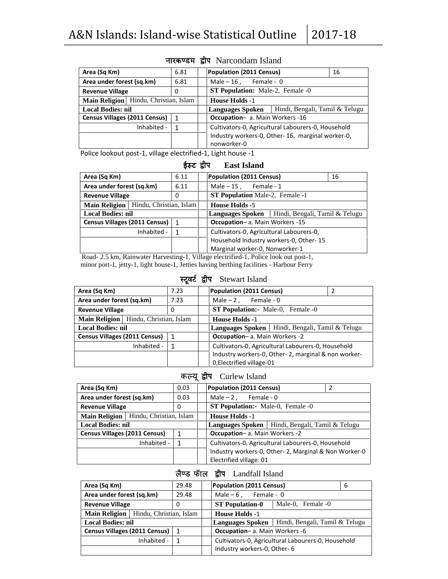| Area (Sq Km)                          | 6.81           | <b>Population (2011 Census)</b>                           | 16 |  |  |
|---------------------------------------|----------------|-----------------------------------------------------------|----|--|--|
| Area under forest (sq.km)             | 6.81           | Male $-16$ , Female - 0                                   |    |  |  |
| <b>Revenue Village</b>                | 0              | <b>ST Population:</b> Male-2, Female -0                   |    |  |  |
| Main Religion Hindu, Christian, Islam |                | <b>House Holds -1</b>                                     |    |  |  |
| <b>Local Bodies: nil</b>              |                | Hindi, Bengali, Tamil & Telugu<br><b>Languages Spoken</b> |    |  |  |
| Census Villages (2011 Census)         | $\overline{1}$ | <b>Occupation-</b> a. Main Workers -16                    |    |  |  |
| Inhabited -                           |                | Cultivators-0, Agricultural Labourers-0, Household        |    |  |  |
|                                       |                | Industry workers-0, Other-16, marginal worker-0,          |    |  |  |
|                                       |                | nonworker-0                                               |    |  |  |

### **Ukkjd.Me }hi** Narcondam Island

Police lookout post-1, village electrified-1, Light house -1

### **ई ट }hi East Island**

| Area (Sq Km)                                    | 6.11         | <b>Population (2011 Census)</b><br>16                                                    |  |  |  |
|-------------------------------------------------|--------------|------------------------------------------------------------------------------------------|--|--|--|
| Area under forest (sq.km)                       | 6.11         | Male $-15$ , Female - 1                                                                  |  |  |  |
| <b>Revenue Village</b>                          | 0            | <b>ST Population Male-2, Female -1</b>                                                   |  |  |  |
| Hindu, Christian, Islam<br><b>Main Religion</b> |              | <b>House Holds -5</b>                                                                    |  |  |  |
| <b>Local Bodies: nil</b>                        |              | Hindi, Bengali, Tamil & Telugu<br><b>Languages Spoken</b>                                |  |  |  |
| <b>Census Villages (2011 Census)</b>            | 1            | <b>Occupation-</b> a. Main Workers -15                                                   |  |  |  |
| Inhabited -                                     | $\mathbf{1}$ | Cultivators-0, Agricultural Labourers-0,                                                 |  |  |  |
|                                                 |              | Household Industry workers-0, Other-15                                                   |  |  |  |
|                                                 |              | Marginal worker-0, Nonworker-1                                                           |  |  |  |
|                                                 |              | Road- 2.5 km, Rainwater Harvesting-1, Village electrified-1, Police look out post-1,     |  |  |  |
|                                                 |              | minor port-1, jetty-1, light house-1, Jetties having berthing facilities - Harbour Ferry |  |  |  |
|                                                 | स्टूवर       | द्वीप Stewart Island                                                                     |  |  |  |
| Area (Sq Km)                                    | 7.23         | Population (2011 Census)<br>$\mathfrak{p}$                                               |  |  |  |
| Area under forest (sq.km)                       | 7.23         | Male $-2$ , Female - 0                                                                   |  |  |  |
| Douanus Village                                 | $\sim$       | $\mathbf{C}$ Population: Male 0 $\mathbf{F}$ Female 0                                    |  |  |  |

| Area (Sq Km)                                                                  |             | 7.23      | Population (2011 Census)<br>2                       |  |  |  |  |
|-------------------------------------------------------------------------------|-------------|-----------|-----------------------------------------------------|--|--|--|--|
| Area under forest (sq.km)<br>7.23                                             |             |           | Male $-2$ , Female - 0                              |  |  |  |  |
| <b>Revenue Village</b>                                                        |             | 0         | <b>ST Population:</b> Male-0, Female -0             |  |  |  |  |
| Main Religion   Hindu, Christian, Islam                                       |             |           | <b>House Holds -1</b>                               |  |  |  |  |
| <b>Local Bodies: nil</b><br>Languages Spoken   Hindi, Bengali, Tamil & Telugu |             |           |                                                     |  |  |  |  |
| Census Villages (2011 Census)                                                 |             | $\vert$ 1 | Occupation-a. Main Workers -2                       |  |  |  |  |
|                                                                               | Inhabited - | - 1       | Cultivators-0, Agricultural Labourers-0, Household  |  |  |  |  |
|                                                                               |             |           | Industry workers-0, Other-2, marginal & non worker- |  |  |  |  |
|                                                                               |             |           | 0. Electrified village-01                           |  |  |  |  |

### क यू**}hi** Curlew Island

| Area (Sq Km)                         |                         | 0.03                                               |  | <b>Population (2011 Census)</b>                      |  |  |  |  |
|--------------------------------------|-------------------------|----------------------------------------------------|--|------------------------------------------------------|--|--|--|--|
| Area under forest (sq.km)            |                         | 0.03                                               |  | Male $-2$ ,<br>Female - 0                            |  |  |  |  |
| <b>Revenue Village</b>               |                         | 0                                                  |  | <b>ST Population:</b> Male-0, Female -0              |  |  |  |  |
| <b>Main Religion</b>                 | Hindu, Christian, Islam |                                                    |  | <b>House Holds -1</b>                                |  |  |  |  |
| <b>Local Bodies: nil</b>             |                         | Hindi, Bengali, Tamil & Telugu<br>Languages Spoken |  |                                                      |  |  |  |  |
| <b>Census Villages (2011 Census)</b> |                         | $\mathbf{1}$                                       |  | <b>Occupation-</b> a. Main Workers -2                |  |  |  |  |
|                                      | Inhabited -             | 1                                                  |  | Cultivators-0, Agricultural Labourers-0, Household   |  |  |  |  |
|                                      |                         |                                                    |  | Industry workers-0, Other-2, Marginal & Non Worker-0 |  |  |  |  |
|                                      |                         |                                                    |  | Electrified village: 01                              |  |  |  |  |

### **yS.M QWky }hi** Landfall Island

| Area (Sq Km)                             | 29.48                                                     |                                                    | <b>Population (2011 Census)</b><br>6 |  |  |  |  |
|------------------------------------------|-----------------------------------------------------------|----------------------------------------------------|--------------------------------------|--|--|--|--|
| Area under forest (sq.km)                | 29.48                                                     | Male $-6$ , Female - 0                             |                                      |  |  |  |  |
| <b>Revenue Village</b>                   | 0                                                         | Male-0. Female -0<br><b>ST Population-0</b>        |                                      |  |  |  |  |
| Main Religion<br>Hindu, Christian, Islam |                                                           | <b>House Holds -1</b>                              |                                      |  |  |  |  |
| <b>Local Bodies: nil</b>                 | Hindi, Bengali, Tamil & Telugu<br><b>Languages Spoken</b> |                                                    |                                      |  |  |  |  |
| Census Villages (2011 Census)   1        |                                                           | <b>Occupation-a.</b> Main Workers -6               |                                      |  |  |  |  |
| Inhabited -                              |                                                           | Cultivators-0, Agricultural Labourers-0, Household |                                      |  |  |  |  |
|                                          |                                                           | Industry workers-0, Other-6                        |                                      |  |  |  |  |
|                                          |                                                           |                                                    |                                      |  |  |  |  |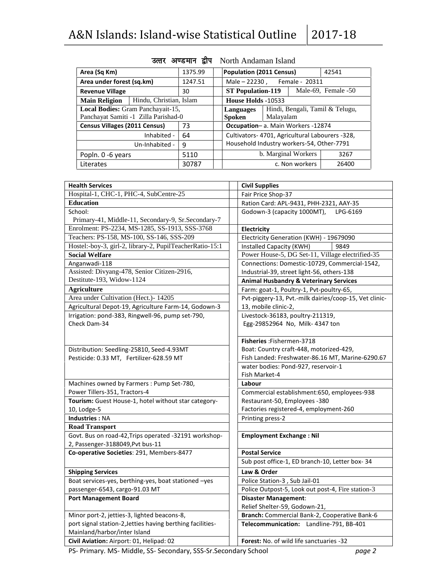| Area (Sq Km)                         | 1375.99                 |         |                              | <b>Population (2011 Census)</b>                 |           |                | 42541 |
|--------------------------------------|-------------------------|---------|------------------------------|-------------------------------------------------|-----------|----------------|-------|
| Area under forest (sq.km)            |                         | 1247.51 | Male - 22230, Female - 20311 |                                                 |           |                |       |
| <b>Revenue Village</b>               | 30                      |         |                              | Male-69, Female -50<br><b>ST Population-119</b> |           |                |       |
| <b>Main Religion</b>                 | Hindu, Christian, Islam |         | House Holds -10533           |                                                 |           |                |       |
| Local Bodies: Gram Panchayait-15,    |                         |         |                              | Hindi, Bengali, Tamil & Telugu,<br>Languages    |           |                |       |
| Panchayat Samiti -1 Zilla Parishad-0 |                         |         |                              | Spoken                                          | Malayalam |                |       |
| <b>Census Villages (2011 Census)</b> |                         | 73      |                              | Occupation-a. Main Workers -12874               |           |                |       |
|                                      | Inhabited -             | 64      |                              | Cultivators- 4701, Agricultural Labourers -328, |           |                |       |
|                                      | Un-Inhabited -          | 9       |                              | Household Industry workers-54, Other-7791       |           |                |       |
| Popln. 0 -6 years                    |                         | 5110    |                              | b. Marginal Workers<br>3267                     |           |                |       |
| Literates                            |                         | 30787   |                              |                                                 |           | c. Non workers | 26400 |

# उत्तर अण्डमान द्वीप North Andaman Island

| <b>Health Services</b>                                                                    | <b>Civil Supplies</b>                                  |
|-------------------------------------------------------------------------------------------|--------------------------------------------------------|
| Hospital-1, CHC-1, PHC-4, SubCentre-25                                                    | Fair Price Shop-37                                     |
| <b>Education</b>                                                                          | Ration Card: APL-9431, PHH-2321, AAY-35                |
| School:                                                                                   | Godown-3 (capacity 1000MT),<br>LPG-6169                |
| Primary-41, Middle-11, Secondary-9, Sr.Secondary-7                                        |                                                        |
| Enrolment: PS-2234, MS-1285, SS-1913, SSS-3768                                            | Electricity                                            |
| Teachers: PS-158, MS-100, SS-146, SSS-209                                                 | Electricity Generation (KWH) - 19679090                |
| Hostel:-boy-3, girl-2, library-2, PupilTeacherRatio-15:1                                  | Installed Capacity (KWH)<br>9849                       |
| <b>Social Welfare</b>                                                                     | Power House-5, DG Set-11, Village electrified-35       |
| Anganwadi-118                                                                             | Connections: Domestic-10729, Commercial-1542,          |
| Assisted: Divyang-478, Senior Citizen-2916,                                               | Industrial-39, street light-56, others-138             |
| Destitute-193, Widow-1124                                                                 | <b>Animal Husbandry &amp; Veterinary Services</b>      |
| <b>Agriculture</b>                                                                        | Farm: goat-1, Poultry-1, Pvt-poultry-65,               |
| Area under Cultivation (Hect.)- 14205                                                     | Pvt-piggery-13, Pvt.-milk dairies/coop-15, Vet clinic- |
| Agricultural Depot-19, Agriculture Farm-14, Godown-3                                      | 13, mobile clinic-2,                                   |
| Irrigation: pond-383, Ringwell-96, pump set-790,                                          | Livestock-36183, poultry-211319,                       |
| Check Dam-34                                                                              | Egg-29852964 No, Milk- 4347 ton                        |
|                                                                                           |                                                        |
|                                                                                           | Fisheries: Fishermen-3718                              |
| Distribution: Seedling-25810, Seed-4.93MT                                                 | Boat: Country craft-448, motorized-429,                |
| Pesticide: 0.33 MT, Fertilizer-628.59 MT                                                  | Fish Landed: Freshwater-86.16 MT, Marine-6290.67       |
|                                                                                           | water bodies: Pond-927, reservoir-1                    |
|                                                                                           | Fish Market-4                                          |
| Machines owned by Farmers : Pump Set-780,                                                 | Labour                                                 |
| Power Tillers-351, Tractors-4                                                             | Commercial establishment:650, employees-938            |
| Tourism: Guest House-1, hotel without star category-                                      | Restaurant-50, Employees -380                          |
| 10, Lodge-5                                                                               | Factories registered-4, employment-260                 |
| <b>Industries: NA</b>                                                                     | Printing press-2                                       |
| <b>Road Transport</b>                                                                     |                                                        |
| Govt. Bus on road-42, Trips operated -32191 workshop-<br>2, Passenger-3188049, Pvt bus-11 | <b>Employment Exchange: Nil</b>                        |
| Co-operative Societies: 291, Members-8477                                                 | <b>Postal Service</b>                                  |
|                                                                                           | Sub post office-1, ED branch-10, Letter box-34         |
| <b>Shipping Services</b>                                                                  | Law & Order                                            |
| Boat services-yes, berthing-yes, boat stationed -yes                                      | Police Station-3, Sub Jail-01                          |
| passenger-6543, cargo-91.03 MT                                                            | Police Outpost-5, Look out post-4, Fire station-3      |
| <b>Port Management Board</b>                                                              | <b>Disaster Management:</b>                            |
|                                                                                           | Relief Shelter-59, Godown-21,                          |
| Minor port-2, jetties-3, lighted beacons-8,                                               | Branch: Commercial Bank-2, Cooperative Bank-6          |
| port signal station-2, Jetties having berthing facilities-                                | Telecommunication: Landline-791, BB-401                |
| Mainland/harbor/inter Island                                                              |                                                        |
| Civil Aviation: Airport: 01, Helipad: 02                                                  | Forest: No. of wild life sanctuaries -32               |
| DS- Drimary, MS- Middle, SS- Secondary, SSS-Sr Secondary School                           | nano 2                                                 |

PS- Primary. MS- Middle, SS- Secondary, SSS-Sr.Secondary School *page 2*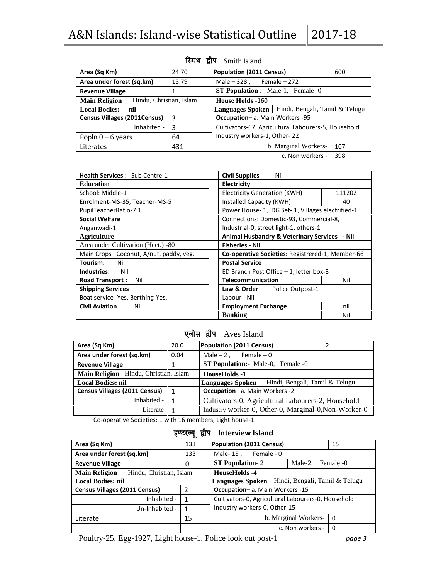| Area (Sq Km)                        |                         | 24.70 | <b>Population (2011 Census)</b><br>600                    |     |  |  |  |  |
|-------------------------------------|-------------------------|-------|-----------------------------------------------------------|-----|--|--|--|--|
| Area under forest (sq.km)           |                         | 15.79 | Male $-328$ , Female $-272$                               |     |  |  |  |  |
| <b>Revenue Village</b>              |                         |       | <b>ST Population</b> : Male-1, Female -0                  |     |  |  |  |  |
| <b>Main Religion</b>                | Hindu, Christian, Islam |       | <b>House Holds -160</b>                                   |     |  |  |  |  |
| <b>Local Bodies:</b>                | nil                     |       | Hindi, Bengali, Tamil & Telugu<br><b>Languages Spoken</b> |     |  |  |  |  |
| <b>Census Villages (2011Census)</b> |                         | 3     | <b>Occupation-a.</b> Main Workers -95                     |     |  |  |  |  |
|                                     | Inhabited -             | 3     | Cultivators-67, Agricultural Labourers-5, Household       |     |  |  |  |  |
| Popln $0 - 6$ years                 |                         | 64    | Industry workers-1, Other-22                              |     |  |  |  |  |
| Literates                           |                         | 431   | b. Marginal Workers-                                      | 107 |  |  |  |  |
|                                     |                         |       | c. Non workers -                                          | 398 |  |  |  |  |

### **स्मिथ द्वीप** Smith Island

| <b>Health Services: Sub Centre-1</b>    | <b>Civil Supplies</b><br>Nil                     |        |  |  |
|-----------------------------------------|--------------------------------------------------|--------|--|--|
| <b>Education</b>                        | Electricity                                      |        |  |  |
| School: Middle-1                        | <b>Electricity Generation (KWH)</b>              | 111202 |  |  |
| Enrolment-MS-35, Teacher-MS-5           | Installed Capacity (KWH)                         | 40     |  |  |
| PupilTeacherRatio-7:1                   | Power House-1, DG Set-1, Villages electrified-1  |        |  |  |
| <b>Social Welfare</b>                   | Connections: Domestic-93, Commercial-8,          |        |  |  |
| Anganwadi-1                             | Industrial-0, street light-1, others-1           |        |  |  |
| <b>Agriculture</b>                      | Animal Husbandry & Veterinary Services - Nil     |        |  |  |
| Area under Cultivation (Hect.) -80      | <b>Fisheries - Nil</b>                           |        |  |  |
| Main Crops: Coconut, A/nut, paddy, veg. | Co-operative Societies: Registrered-1, Member-66 |        |  |  |
| Tourism:<br>Nil                         | <b>Postal Service</b>                            |        |  |  |
| Industries:<br>Nil                      | ED Branch Post Office $-1$ , letter box-3        |        |  |  |
| Nil<br><b>Road Transport:</b>           | <b>Telecommunication</b>                         | Nil    |  |  |
| <b>Shipping Services</b>                | Law & Order<br>Police Outpost-1                  |        |  |  |
| Boat service -Yes, Berthing-Yes,        | Labour - Nil                                     |        |  |  |
| <b>Civil Aviation</b><br>Nil            | <b>Employment Exchange</b>                       | nil    |  |  |
|                                         | <b>Banking</b>                                   | Nil    |  |  |

### **एवीस द्वीप** Aves Island

| Area (Sq Km)                          | 20.0           | Population (2011 Census)                                  |  |  |  |  |  |
|---------------------------------------|----------------|-----------------------------------------------------------|--|--|--|--|--|
| Area under forest (sq.km)             | 0.04           | Male $-2$ , Female $-0$                                   |  |  |  |  |  |
| <b>Revenue Village</b>                | 1              | <b>ST Population:</b> Male-0, Female -0                   |  |  |  |  |  |
| Main Religion Hindu, Christian, Islam |                | <b>HouseHolds -1</b>                                      |  |  |  |  |  |
| <b>Local Bodies: nil</b>              |                | Hindi, Bengali, Tamil & Telugu<br><b>Languages Spoken</b> |  |  |  |  |  |
| Census Villages (2011 Census)         | $\overline{1}$ | Occupation-a. Main Workers -2                             |  |  |  |  |  |
| Inhabited -                           | 1              | Cultivators-0, Agricultural Labourers-2, Household        |  |  |  |  |  |
| Literate                              |                | Industry worker-0, Other-0, Marginal-0, Non-Worker-0      |  |  |  |  |  |

Co-operative Societies: 1 with 16 members, Light house-1

### इण्टरव्यू द्वीप Interview Island

| Area (Sq Km)                                    | 133 | Population (2011 Census)<br>15                     |  |  |  |
|-------------------------------------------------|-----|----------------------------------------------------|--|--|--|
| Area under forest (sq.km)                       | 133 | Male-15, Female-0                                  |  |  |  |
| <b>Revenue Village</b><br>0                     |     | <b>ST Population-2</b><br>Male-2, Female -0        |  |  |  |
| Hindu, Christian, Islam<br><b>Main Religion</b> |     | HouseHolds -4                                      |  |  |  |
| <b>Local Bodies: nil</b>                        |     | Languages Spoken   Hindi, Bengali, Tamil & Telugu  |  |  |  |
| <b>Census Villages (2011 Census)</b>            | 2   | <b>Occupation-a. Main Workers -15</b>              |  |  |  |
| Inhabited -                                     | 1   | Cultivators-0, Agricultural Labourers-0, Household |  |  |  |
| Un-Inhabited -                                  | 1   | Industry workers-0, Other-15                       |  |  |  |
| Literate                                        | 15  | b. Marginal Workers-<br>$\Omega$                   |  |  |  |
|                                                 |     | c. Non workers -<br>- 0                            |  |  |  |

Poultry-25, Egg-1927, Light house-1, Police look out post-1 *page 3*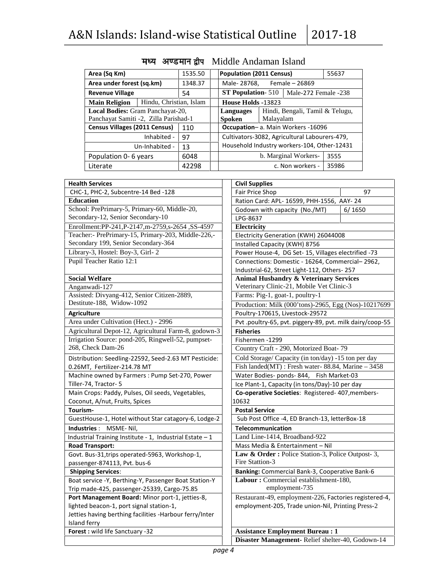| Area (Sq Km)<br>1535.50               |                                  |                     |                                               | <b>Population (2011 Census)</b>                   |  |                                   | 55637 |
|---------------------------------------|----------------------------------|---------------------|-----------------------------------------------|---------------------------------------------------|--|-----------------------------------|-------|
| Area under forest (sq.km)             |                                  | 1348.37             |                                               | Female – 26869<br>Male-28768,                     |  |                                   |       |
| <b>Revenue Village</b>                | 54                               |                     |                                               | <b>ST Population-</b> 510<br>Male-272 Female -238 |  |                                   |       |
| <b>Main Religion</b>                  | Hindu, Christian, Islam          |                     |                                               | House Holds -13823                                |  |                                   |       |
|                                       | Local Bodies: Gram Panchayat-20, |                     |                                               | Hindi, Bengali, Tamil & Telugu,<br>Languages      |  |                                   |       |
| Panchayat Samiti -2, Zilla Parishad-1 |                                  | Malayalam<br>Spoken |                                               |                                                   |  |                                   |       |
| <b>Census Villages (2011 Census)</b>  |                                  | 110                 |                                               |                                                   |  | Occupation-a. Main Workers -16096 |       |
|                                       | Inhabited -                      | 97                  | Cultivators-3082, Agricultural Labourers-479, |                                                   |  |                                   |       |
|                                       | Un-Inhabited -                   | 13                  | Household Industry workers-104, Other-12431   |                                                   |  |                                   |       |
| Population 0-6 years                  |                                  | 6048                |                                               | b. Marginal Workers-<br>3555                      |  |                                   |       |
| Literate                              |                                  | 42298               |                                               |                                                   |  | c. Non workers -                  | 35986 |

### **मध्य अण्डमान द्वीप Middle Andaman Island**

| <b>Health Services</b>                                   | <b>Civil Supplies</b>                                     |
|----------------------------------------------------------|-----------------------------------------------------------|
| CHC-1, PHC-2, Subcentre-14 Bed -128                      | Fair Price Shop<br>97                                     |
| <b>Education</b>                                         | Ration Card: APL- 16599, PHH-1556, AAY- 24                |
| School: PrePrimary-5, Primary-60, Middle-20,             | Godown with capacity (No./MT)<br>6/1650                   |
| Secondary-12, Senior Secondary-10                        | LPG-8637                                                  |
| Enrollment:PP-241,P-2147,m-2759,s-2654,SS-4597           | Electricity                                               |
| Teacher:- PrePrimary-15, Primary-203, Middle-226,-       | Electricity Generation (KWH) 26044008                     |
| Secondary 199, Senior Secondary-364                      | Installed Capacity (KWH) 8756                             |
| Library-3, Hostel: Boy-3, Girl-2                         | Power House-4, DG Set- 15, Villages electrified -73       |
| Pupil Teacher Ratio 12:1                                 | Connections: Domestic - 16264, Commercial-2962,           |
|                                                          | Industrial-62, Street Light-112, Others-257               |
| <b>Social Welfare</b>                                    | <b>Animal Husbandry &amp; Veterinary Services</b>         |
| Anganwadi-127                                            | Veterinary Clinic-21, Mobile Vet Clinic-3                 |
| Assisted: Divyang-412, Senior Citizen-2889,              | Farms: Pig-1, goat-1, poultry-1                           |
| Destitute-188, Widow-1092                                | Production: Milk (000'tons)-2965, Egg (Nos)-10217699      |
| <b>Agriculture</b>                                       | Poultry-170615, Livestock-29572                           |
| Area under Cultivation (Hect.) - 2996                    | Pvt .poultry-65, pvt. piggery-89, pvt. milk dairy/coop-55 |
| Agricultural Depot-12, Agricultural Farm-8, godown-3     | <b>Fisheries</b>                                          |
| Irrigation Source: pond-205, Ringwell-52, pumpset-       | Fishermen -1299                                           |
| 268, Check Dam-26                                        | Country Craft - 290, Motorized Boat-79                    |
| Distribution: Seedling-22592, Seed-2.63 MT Pesticide:    | Cold Storage/ Capacity (in ton/day) -15 ton per day       |
| 0.26MT, Fertilizer-214.78 MT                             | Fish landed $(MT)$ : Fresh water-88.84, Marine - 3458     |
| Machine owned by Farmers: Pump Set-270, Power            | Water Bodies- ponds-844, Fish Market-03                   |
| Tiller-74, Tractor- 5                                    | Ice Plant-1, Capacity (in tons/Day)-10 per day            |
| Main Crops: Paddy, Pulses, Oil seeds, Vegetables,        | Co-operative Societies: Registered-407, members-          |
| Coconut, A/nut, Fruits, Spices                           | 10632                                                     |
| Tourism-                                                 | <b>Postal Service</b>                                     |
| GuestHouse-1, Hotel without Star catagory-6, Lodge-2     | Sub Post Office -4, ED Branch-13, letterBox-18            |
| Industries : MSME-Nil,                                   | Telecommunication                                         |
| Industrial Training Institute - 1, Industrial Estate - 1 | Land Line-1414, Broadband-922                             |
| <b>Road Transport:</b>                                   | Mass Media & Entertainment - Nil                          |
| Govt. Bus-31, trips operated-5963, Workshop-1,           | Law & Order: Police Station-3, Police Outpost-3,          |
| passenger-874113, Pvt. bus-6                             | Fire Stattion-3                                           |
| <b>Shipping Services:</b>                                | Banking: Commercial Bank-3, Cooperative Bank-6            |
| Boat service -Y, Berthing-Y, Passenger Boat Station-Y    | Labour: Commercial establishment-180,                     |
| Trip made-425, passenger-25339, Cargo-75.85              | employment-735                                            |
| Port Management Board: Minor port-1, jetties-8,          | Restaurant-49, employment-226, Factories registered-4,    |
| lighted beacon-1, port signal station-1,                 | employment-205, Trade union-Nil, Printing Press-2         |
| Jetties having berthing facilities -Harbour ferry/Inter  |                                                           |
| Island ferry                                             |                                                           |
| Forest: wild life Sanctuary -32                          | <b>Assistance Employment Bureau: 1</b>                    |
|                                                          | Disaster Management-Relief shelter-40, Godown-14          |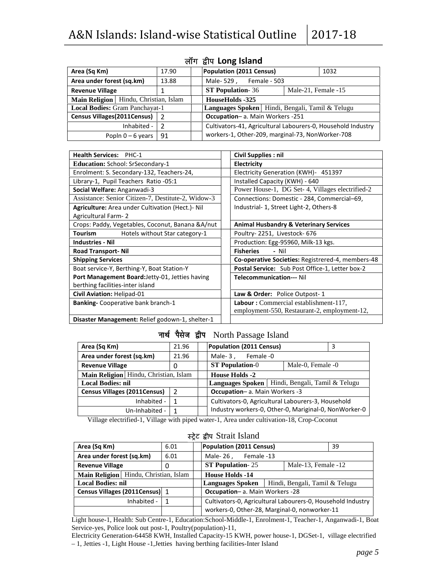|                                                 |                | A&N Islands: Island-wise Statistical Outline                 | 2017-18             |
|-------------------------------------------------|----------------|--------------------------------------------------------------|---------------------|
|                                                 |                | लॉग द्वीप Long Island                                        |                     |
| Area (Sq Km)                                    | 17.90          | <b>Population (2011 Census)</b>                              | 1032                |
| Area under forest (sq.km)                       | 13.88          | Male-529, Female - 503                                       |                     |
| <b>Revenue Village</b>                          | 1              | <b>ST Population-36</b>                                      | Male-21, Female -15 |
| Hindu, Christian, Islam<br><b>Main Religion</b> |                | HouseHolds -325                                              |                     |
| <b>Local Bodies: Gram Panchayat-1</b>           |                | Languages Spoken   Hindi, Bengali, Tamil & Telugu            |                     |
| <b>Census Villages (2011Census)</b>             | $\overline{2}$ | Occupation- a. Main Workers -251                             |                     |
| Inhabited -                                     | $\overline{2}$ | Cultivators-41, Agricultural Labourers-0, Household Industry |                     |
| Popln $0 - 6$ years                             | 91             | workers-1, Other-209, marginal-73, NonWorker-708             |                     |

| <b>Health Services: PHC-1</b>                      | <b>Civil Supplies: nil</b>                        |
|----------------------------------------------------|---------------------------------------------------|
| <b>Education: School: SrSecondary-1</b>            | Electricity                                       |
| Enrolment: S. Secondary-132, Teachers-24,          | Electricity Generation (KWH) - 451397             |
| Library-1, Pupil Teachers Ratio -05:1              | Installed Capacity (KWH) - 640                    |
| Social Welfare: Anganwadi-3                        | Power House-1, DG Set-4, Villages electrified-2   |
| Assistance: Senior Citizen-7, Destitute-2, Widow-3 | Connections: Domestic - 284, Commercial-69,       |
| Agriculture: Area under Cultivation (Hect.)- Nil   | Industrial- 1, Street Light-2, Others-8           |
| <b>Agricultural Farm-2</b>                         |                                                   |
| Crops: Paddy, Vegetables, Coconut, Banana & A/nut  | <b>Animal Husbandry &amp; Veterinary Services</b> |
| Tourism<br>Hotels without Star category-1          | Poultry-2251, Livestock-676                       |
| <b>Industries - Nil</b>                            | Production: Egg-95960, Milk-13 kgs.               |
| <b>Road Transport-Nil</b>                          | <b>Fisheries</b><br>- Nil                         |
| <b>Shipping Services</b>                           | Co-operative Societies: Registrered-4, members-48 |
| Boat service-Y, Berthing-Y, Boat Station-Y         | Postal Service: Sub Post Office-1, Letter box-2   |
| Port Management Board: Jetty-01, Jetties having    | <b>Telecommunication--- Nil</b>                   |
| berthing facilities-inter island                   |                                                   |
| Civil Aviation: Helipad-01                         | Law & Order: Police Outpost-1                     |
| <b>Banking-Cooperative bank branch-1</b>           | <b>Labour:</b> Commercial establishment-117,      |
|                                                    | employment-550, Restaurant-2, employment-12,      |
| Disaster Management: Relief godown-1, shelter-1    |                                                   |

# **नार्थ पैसेज द्वीप North Passage Island**

| Area (Sq Km)                          | 21.96 | Population (2011 Census)<br>3                         |
|---------------------------------------|-------|-------------------------------------------------------|
| Area under forest (sq.km)             | 21.96 | Male-3.<br>Female -0                                  |
| <b>Revenue Village</b>                | 0     | <b>ST Population-0</b><br>Male-0, Female -0           |
| Main Religion Hindu, Christian, Islam |       | <b>House Holds -2</b>                                 |
| <b>Local Bodies: nil</b>              |       | Languages Spoken   Hindi, Bengali, Tamil & Telugu     |
| <b>Census Villages (2011Census)</b>   | -2    | <b>Occupation-</b> a. Main Workers -3                 |
| Inhabited - $\vert$                   |       | Cultivators-0, Agricultural Labourers-3, Household    |
| Un-Inhabited - I                      |       | Industry workers-0, Other-0, Mariginal-0, NonWorker-0 |

Village electrified-1, Village with piped water-1, Area under cultivation-18, Crop-Coconut

### ेट **}hi** Strait Island

| Area (Sq Km)                          | 6.01 | Population (2011 Census)                      | 39                                                          |
|---------------------------------------|------|-----------------------------------------------|-------------------------------------------------------------|
| Area under forest (sq.km)             | 6.01 | Male-26, Female-13                            |                                                             |
| <b>Revenue Village</b>                | 0    | <b>ST Population-25</b>                       | Male-13, Female -12                                         |
| Main Religion Hindu, Christian, Islam |      | <b>House Holds -14</b>                        |                                                             |
| <b>Local Bodies: nil</b>              |      | <b>Languages Spoken</b>                       | Hindi, Bengali, Tamil & Telugu                              |
| Census Villages (2011Census) 1        |      | <b>Occupation-a.</b> Main Workers -28         |                                                             |
| Inhabited -                           |      |                                               | Cultivators-0, Agricultural Labourers-0, Household Industry |
|                                       |      | workers-0, Other-28, Marginal-0, nonworker-11 |                                                             |

Light house-1, Health: Sub Centre-1, Education:School-Middle-1, Enrolment-1, Teacher-1, Anganwadi-1, Boat Service-yes, Police look out post-1, Poultry(population)-11,

Electricity Generation-64458 KWH, Installed Capacity-15 KWH, power house-1, DGSet-1, village electrified – 1, Jetties -1, Light House -1,Jetties having berthing facilities-Inter Island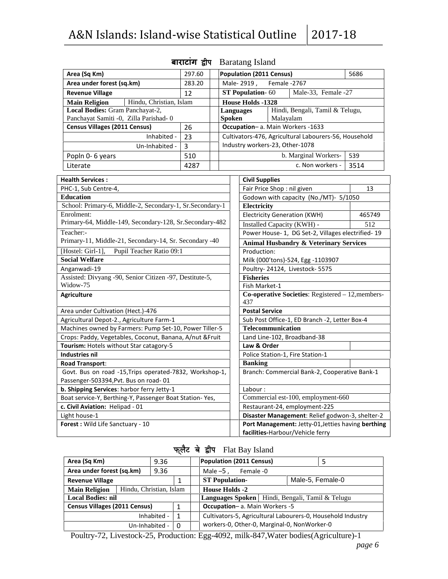| Area (Sq Km)                                             | 297.60                                                   | <b>Population (2011 Census)</b><br>5686 |        |                                                     |              |                                                       |        |  |
|----------------------------------------------------------|----------------------------------------------------------|-----------------------------------------|--------|-----------------------------------------------------|--------------|-------------------------------------------------------|--------|--|
| Area under forest (sq.km)                                | 283.20                                                   |                                         |        | Male-2919,                                          | Female -2767 |                                                       |        |  |
| <b>Revenue Village</b>                                   | 12                                                       |                                         |        | ST Population-60                                    |              | Male-33, Female -27                                   |        |  |
| Hindu, Christian, Islam<br><b>Main Religion</b>          |                                                          |                                         |        | <b>House Holds -1328</b>                            |              |                                                       |        |  |
| Local Bodies: Gram Panchayat-2,                          |                                                          |                                         |        | Hindi, Bengali, Tamil & Telugu,<br><b>Languages</b> |              |                                                       |        |  |
| Panchayat Samiti -0, Zilla Parishad-0                    |                                                          |                                         | Spoken |                                                     | Malayalam    |                                                       |        |  |
| <b>Census Villages (2011 Census)</b>                     | 26                                                       |                                         |        |                                                     |              | Occupation-a. Main Workers -1633                      |        |  |
| Inhabited -                                              | 23                                                       |                                         |        |                                                     |              | Cultivators-476, Agricultural Labourers-56, Household |        |  |
| Un-Inhabited -                                           | $\overline{3}$                                           |                                         |        | Industry workers-23, Other-1078                     |              |                                                       |        |  |
| Popln 0-6 years                                          | 510                                                      |                                         |        |                                                     |              | b. Marginal Workers-                                  | 539    |  |
| Literate                                                 | 4287                                                     |                                         |        |                                                     |              | c. Non workers -                                      | 3514   |  |
| <b>Health Services:</b>                                  |                                                          |                                         |        | <b>Civil Supplies</b>                               |              |                                                       |        |  |
| PHC-1, Sub Centre-4,                                     |                                                          |                                         |        | Fair Price Shop: nil given                          |              |                                                       | 13     |  |
| <b>Education</b>                                         |                                                          |                                         |        |                                                     |              | Godown with capacity (No./MT)- 5/1050                 |        |  |
|                                                          | School: Primary-6, Middle-2, Secondary-1, Sr.Secondary-1 |                                         |        |                                                     |              |                                                       |        |  |
| Enrolment:                                               |                                                          |                                         |        | Electricity<br><b>Electricity Generation (KWH)</b>  |              |                                                       | 465749 |  |
| Primary-64, Middle-149, Secondary-128, Sr.Secondary-482  |                                                          |                                         |        | Installed Capacity (KWH) -                          |              |                                                       | 512    |  |
| Teacher:-                                                |                                                          |                                         |        |                                                     |              | Power House- 1, DG Set-2, Villages electrified- 19    |        |  |
| Primary-11, Middle-21, Secondary-14, Sr. Secondary -40   |                                                          |                                         |        | <b>Animal Husbandry &amp; Veterinary Services</b>   |              |                                                       |        |  |
| [Hostel: Girl-1],<br>Pupil Teacher Ratio 09:1            |                                                          |                                         |        | Production:                                         |              |                                                       |        |  |
| <b>Social Welfare</b>                                    |                                                          |                                         |        |                                                     |              | Milk (000'tons)-524, Egg -1103907                     |        |  |
| Anganwadi-19                                             |                                                          |                                         |        |                                                     |              | Poultry-24124, Livestock-5575                         |        |  |
| Assisted: Divyang -90, Senior Citizen -97, Destitute-5,  |                                                          |                                         |        | <b>Fisheries</b>                                    |              |                                                       |        |  |
| Widow-75                                                 |                                                          |                                         |        | Fish Market-1                                       |              |                                                       |        |  |
| <b>Agriculture</b>                                       |                                                          |                                         |        | 437                                                 |              | Co-operative Societies: Registered - 12, members-     |        |  |
| Area under Cultivation (Hect.)-476                       |                                                          |                                         |        | <b>Postal Service</b>                               |              |                                                       |        |  |
| Agricultural Depot-2., Agriculture Farm-1                |                                                          |                                         |        | Sub Post Office-1, ED Branch -2, Letter Box-4       |              |                                                       |        |  |
| Machines owned by Farmers: Pump Set-10, Power Tiller-5   |                                                          |                                         |        | <b>Telecommunication</b>                            |              |                                                       |        |  |
| Crops: Paddy, Vegetables, Coconut, Banana, A/nut & Fruit |                                                          |                                         |        | Land Line-102, Broadband-38                         |              |                                                       |        |  |
| Tourism: Hotels without Star catagory-5                  |                                                          |                                         |        | Law & Order                                         |              |                                                       |        |  |
| <b>Industries nil</b>                                    |                                                          |                                         |        |                                                     |              | Police Station-1, Fire Station-1                      |        |  |
| <b>Road Transport:</b>                                   |                                                          |                                         |        | <b>Banking</b>                                      |              |                                                       |        |  |
| Govt. Bus on road -15, Trips operated-7832, Workshop-1,  |                                                          |                                         |        |                                                     |              | Branch: Commercial Bank-2, Cooperative Bank-1         |        |  |
| Passenger-503394, Pvt. Bus on road-01                    |                                                          |                                         |        |                                                     |              |                                                       |        |  |
| b. Shipping Services: harbor ferry Jetty-1               |                                                          |                                         |        | Labour:                                             |              |                                                       |        |  |
| Boat service-Y, Berthing-Y, Passenger Boat Station-Yes,  |                                                          |                                         |        |                                                     |              | Commercial est-100, employment-660                    |        |  |
| c. Civil Aviation: Helipad - 01                          |                                                          |                                         |        |                                                     |              | Restaurant-24, employment-225                         |        |  |
| Light house-1                                            |                                                          |                                         |        |                                                     |              | Disaster Management: Relief godwon-3, shelter-2       |        |  |
| Forest: Wild Life Sanctuary - 10                         |                                                          |                                         |        |                                                     |              | Port Management: Jetty-01, Jetties having berthing    |        |  |
|                                                          |                                                          |                                         |        |                                                     |              | facilities-Harbour/Vehicle ferry                      |        |  |

# **बाराटांग }hi** Baratang Island

# फ्लैट बे द्वीप Flat Bay Island

| Area (Sq Km)                         |                         | 9.36        |              | <b>Population (2011 Census)</b>                             |                  |  |
|--------------------------------------|-------------------------|-------------|--------------|-------------------------------------------------------------|------------------|--|
| Area under forest (sq.km)            |                         | 9.36        |              | Male $-5$ ,<br>Female -0                                    |                  |  |
| <b>Revenue Village</b>               |                         |             |              | <b>ST Population-</b>                                       | Male-5, Female-0 |  |
| <b>Main Religion</b>                 | Hindu, Christian, Islam |             |              | <b>House Holds -2</b>                                       |                  |  |
| <b>Local Bodies: nil</b>             |                         |             |              | Languages Spoken   Hindi, Bengali, Tamil & Telugu           |                  |  |
| <b>Census Villages (2011 Census)</b> |                         |             |              | Occupation- a. Main Workers -5                              |                  |  |
|                                      |                         | Inhabited - | $\mathbf{1}$ | Cultivators-5, Agricultural Labourers-0, Household Industry |                  |  |
|                                      | Un-Inhabited -          |             | $\Omega$     | workers-0, Other-0, Marginal-0, NonWorker-0                 |                  |  |

Poultry-72, Livestock-25, Production: Egg-4092, milk-847,Water bodies(Agriculture)-1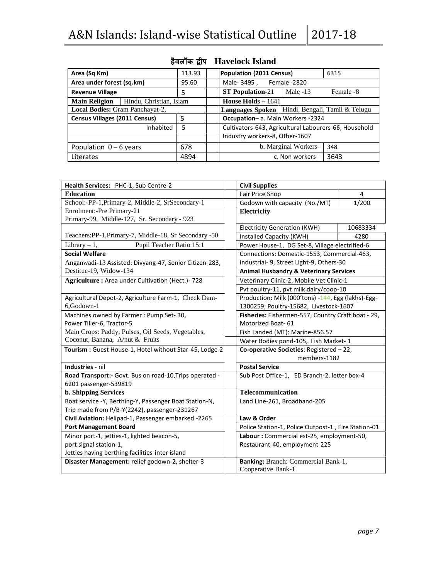| A&N Islands: Island-wise Statistical Outline 2017-18 |        |                                                       |                      |           |
|------------------------------------------------------|--------|-------------------------------------------------------|----------------------|-----------|
|                                                      |        | हैवलॉक द्वीप Havelock Island                          |                      |           |
| Area (Sq Km)                                         | 113.93 | <b>Population (2011 Census)</b>                       |                      | 6315      |
| Area under forest (sq.km)                            | 95.60  | Male-3495, Female-2820                                |                      |           |
| <b>Revenue Village</b>                               | 5      | <b>ST Population-21</b>                               | Male $-13$           | Female -8 |
| Hindu, Christian, Islam<br><b>Main Religion</b>      |        | House Holds $-1641$                                   |                      |           |
| <b>Local Bodies:</b> Gram Panchayat-2,               |        | Languages Spoken   Hindi, Bengali, Tamil & Telugu     |                      |           |
| <b>Census Villages (2011 Census)</b>                 | 5      | Occupation- a. Main Workers -2324                     |                      |           |
| Inhabited                                            | 5      | Cultivators-643, Agricultural Labourers-66, Household |                      |           |
|                                                      |        | Industry workers-8, Other-1607                        |                      |           |
| Population $0 - 6$ years                             | 678    |                                                       | b. Marginal Workers- | 348       |
| Literates                                            | 4894   |                                                       | c. Non workers -     | 3643      |

| Health Services: PHC-1, Sub Centre-2                    | <b>Civil Supplies</b>                               |          |  |  |  |
|---------------------------------------------------------|-----------------------------------------------------|----------|--|--|--|
| <b>Education</b>                                        | Fair Price Shop                                     | 4        |  |  |  |
| School:-PP-1, Primary-2, Middle-2, SrSecondary-1        | Godown with capacity (No./MT)                       | 1/200    |  |  |  |
| Enrolment:-Pre Primary-21                               | Electricity                                         |          |  |  |  |
| Primary-99, Middle-127, Sr. Secondary - 923             |                                                     |          |  |  |  |
|                                                         | <b>Electricity Generation (KWH)</b>                 | 10683334 |  |  |  |
| Teachers: PP-1, Primary-7, Middle-18, Sr Secondary -50  | Installed Capacity (KWH)                            | 4280     |  |  |  |
| Pupil Teacher Ratio 15:1<br>Library $-1$ ,              | Power House-1, DG Set-8, Village electrified-6      |          |  |  |  |
| <b>Social Welfare</b>                                   | Connections: Domestic-1553, Commercial-463,         |          |  |  |  |
| Anganwadi-13 Assisted: Divyang-47, Senior Citizen-283,  | Industrial- 9, Street Light-9, Others-30            |          |  |  |  |
| Destitue-19, Widow-134                                  | <b>Animal Husbandry &amp; Veterinary Services</b>   |          |  |  |  |
| Agriculture: Area under Cultivation (Hect.)-728         | Veterinary Clinic-2, Mobile Vet Clinic-1            |          |  |  |  |
|                                                         | Pvt poultry-11, pvt milk dairy/coop-10              |          |  |  |  |
| Agricultural Depot-2, Agriculture Farm-1, Check Dam-    | Production: Milk (000'tons) -144, Egg (lakhs)-Egg-  |          |  |  |  |
| 6,Godown-1                                              | 1300259, Poultry-15682, Livestock-1607              |          |  |  |  |
| Machines owned by Farmer: Pump Set-30,                  | Fisheries: Fishermen-557, Country Craft boat - 29,  |          |  |  |  |
| Power Tiller-6, Tractor-5                               | Motorized Boat-61                                   |          |  |  |  |
| Main Crops: Paddy, Pulses, Oil Seeds, Vegetables,       | Fish Landed (MT): Marine-856.57                     |          |  |  |  |
| Coconut, Banana, A/nut & Fruits                         | Water Bodies pond-105, Fish Market-1                |          |  |  |  |
| Tourism : Guest House-1, Hotel without Star-45, Lodge-2 | Co-operative Societies: Registered - 22,            |          |  |  |  |
|                                                         | members-1182                                        |          |  |  |  |
| Industries - nil                                        | <b>Postal Service</b>                               |          |  |  |  |
| Road Transport:- Govt. Bus on road-10, Trips operated - | Sub Post Office-1, ED Branch-2, letter box-4        |          |  |  |  |
| 6201 passenger-539819                                   |                                                     |          |  |  |  |
| <b>b. Shipping Services</b>                             | Telecommunication                                   |          |  |  |  |
| Boat service -Y, Berthing-Y, Passenger Boat Station-N,  | Land Line-261, Broadband-205                        |          |  |  |  |
| Trip made from P/B-Y(2242), passenger-231267            |                                                     |          |  |  |  |
| Civil Aviation: Helipad-1, Passenger embarked -2265     | Law & Order                                         |          |  |  |  |
| <b>Port Management Board</b>                            | Police Station-1, Police Outpost-1, Fire Station-01 |          |  |  |  |
| Minor port-1, jetties-1, lighted beacon-5,              | Labour: Commercial est-25, employment-50,           |          |  |  |  |
| port signal station-1,                                  | Restaurant-40, employment-225                       |          |  |  |  |
| Jetties having berthing facilities-inter island         |                                                     |          |  |  |  |
| Disaster Management: relief godown-2, shelter-3         | Banking: Branch: Commercial Bank-1,                 |          |  |  |  |
|                                                         | Cooperative Bank-1                                  |          |  |  |  |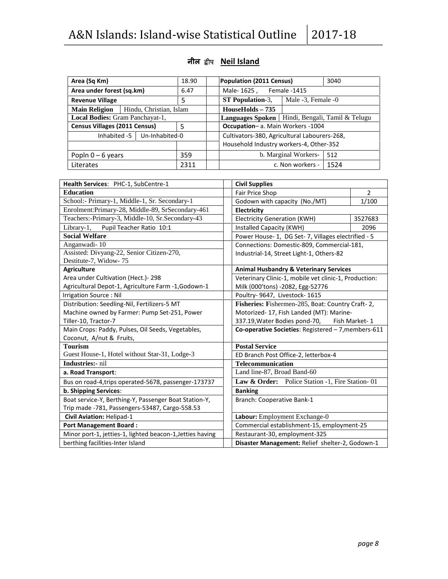| Area (Sq Km)                         |                         | 18.90 | <b>Population (2011 Census)</b>              |                      | 3040                           |
|--------------------------------------|-------------------------|-------|----------------------------------------------|----------------------|--------------------------------|
| Area under forest (sq.km)            |                         | 6.47  | Male-1625, Female-1415                       |                      |                                |
| <b>Revenue Village</b>               |                         | 5     | <b>ST Population-3.</b>                      | Male -3, Female -0   |                                |
| <b>Main Religion</b>                 | Hindu, Christian, Islam |       | $HouseHolds - 735$                           |                      |                                |
| Local Bodies: Gram Panchayat-1,      |                         |       | <b>Languages Spoken</b>                      |                      | Hindi, Bengali, Tamil & Telugu |
| <b>Census Villages (2011 Census)</b> |                         | 5     | Occupation- a. Main Workers -1004            |                      |                                |
| Inhabited -5 $\vert$                 | Un-Inhabited-0          |       | Cultivators-380, Agricultural Labourers-268, |                      |                                |
|                                      |                         |       | Household Industry workers-4, Other-352      |                      |                                |
| Popln $0 - 6$ years                  |                         | 359   |                                              | b. Marginal Workers- | 512                            |
| Literates                            |                         | 2311  |                                              | c. Non workers -     | 1524                           |

### **नील }hi Neil Island**

| <b>Civil Supplies</b><br>Health Services: PHC-1, SubCentre-1<br><b>Education</b><br>Fair Price Shop<br>$\overline{2}$<br>School:- Primary-1, Middle-1, Sr. Secondary-1<br>1/100<br>Godown with capacity (No./MT)<br>Enrolment: Primary-28, Middle-89, SrSecondary-461<br>Electricity<br>Teachers:-Primary-3, Middle-10, Sr.Secondary-43<br><b>Electricity Generation (KWH)</b><br>3527683<br>Library-1,<br>Pupil Teacher Ratio 10:1<br>Installed Capacity (KWH)<br>2096<br><b>Social Welfare</b><br>Power House-1, DG Set-7, Villages electrified - 5<br>Anganwadi-10<br>Connections: Domestic-809, Commercial-181,<br>Assisted: Divyang-22, Senior Citizen-270,<br>Industrial-14, Street Light-1, Others-82<br>Destitute-7, Widow-75<br><b>Agriculture</b><br><b>Animal Husbandry &amp; Veterinary Services</b><br>Area under Cultivation (Hect.)- 298<br>Veterinary Clinic-1, mobile vet clinic-1, Production:<br>Agricultural Depot-1, Agriculture Farm -1, Godown-1<br>Milk (000'tons) -2082, Egg-52776<br>Irrigation Source: Nil<br>Poultry- 9647, Livestock- 1615<br>Fisheries: Fishermen-285, Boat: Country Craft-2,<br>Distribution: Seedling-Nil, Fertilizers-5 MT<br>Motorized- 17, Fish Landed (MT): Marine-<br>Machine owned by Farmer: Pump Set-251, Power<br>Tiller-10, Tractor-7<br>337.19, Water Bodies pond-70, Fish Market-1<br>Main Crops: Paddy, Pulses, Oil Seeds, Vegetables,<br>Co-operative Societies: Registered - 7, members-611 |
|------------------------------------------------------------------------------------------------------------------------------------------------------------------------------------------------------------------------------------------------------------------------------------------------------------------------------------------------------------------------------------------------------------------------------------------------------------------------------------------------------------------------------------------------------------------------------------------------------------------------------------------------------------------------------------------------------------------------------------------------------------------------------------------------------------------------------------------------------------------------------------------------------------------------------------------------------------------------------------------------------------------------------------------------------------------------------------------------------------------------------------------------------------------------------------------------------------------------------------------------------------------------------------------------------------------------------------------------------------------------------------------------------------------------------------------------------------|
|                                                                                                                                                                                                                                                                                                                                                                                                                                                                                                                                                                                                                                                                                                                                                                                                                                                                                                                                                                                                                                                                                                                                                                                                                                                                                                                                                                                                                                                            |
|                                                                                                                                                                                                                                                                                                                                                                                                                                                                                                                                                                                                                                                                                                                                                                                                                                                                                                                                                                                                                                                                                                                                                                                                                                                                                                                                                                                                                                                            |
|                                                                                                                                                                                                                                                                                                                                                                                                                                                                                                                                                                                                                                                                                                                                                                                                                                                                                                                                                                                                                                                                                                                                                                                                                                                                                                                                                                                                                                                            |
|                                                                                                                                                                                                                                                                                                                                                                                                                                                                                                                                                                                                                                                                                                                                                                                                                                                                                                                                                                                                                                                                                                                                                                                                                                                                                                                                                                                                                                                            |
|                                                                                                                                                                                                                                                                                                                                                                                                                                                                                                                                                                                                                                                                                                                                                                                                                                                                                                                                                                                                                                                                                                                                                                                                                                                                                                                                                                                                                                                            |
|                                                                                                                                                                                                                                                                                                                                                                                                                                                                                                                                                                                                                                                                                                                                                                                                                                                                                                                                                                                                                                                                                                                                                                                                                                                                                                                                                                                                                                                            |
|                                                                                                                                                                                                                                                                                                                                                                                                                                                                                                                                                                                                                                                                                                                                                                                                                                                                                                                                                                                                                                                                                                                                                                                                                                                                                                                                                                                                                                                            |
|                                                                                                                                                                                                                                                                                                                                                                                                                                                                                                                                                                                                                                                                                                                                                                                                                                                                                                                                                                                                                                                                                                                                                                                                                                                                                                                                                                                                                                                            |
|                                                                                                                                                                                                                                                                                                                                                                                                                                                                                                                                                                                                                                                                                                                                                                                                                                                                                                                                                                                                                                                                                                                                                                                                                                                                                                                                                                                                                                                            |
|                                                                                                                                                                                                                                                                                                                                                                                                                                                                                                                                                                                                                                                                                                                                                                                                                                                                                                                                                                                                                                                                                                                                                                                                                                                                                                                                                                                                                                                            |
|                                                                                                                                                                                                                                                                                                                                                                                                                                                                                                                                                                                                                                                                                                                                                                                                                                                                                                                                                                                                                                                                                                                                                                                                                                                                                                                                                                                                                                                            |
|                                                                                                                                                                                                                                                                                                                                                                                                                                                                                                                                                                                                                                                                                                                                                                                                                                                                                                                                                                                                                                                                                                                                                                                                                                                                                                                                                                                                                                                            |
|                                                                                                                                                                                                                                                                                                                                                                                                                                                                                                                                                                                                                                                                                                                                                                                                                                                                                                                                                                                                                                                                                                                                                                                                                                                                                                                                                                                                                                                            |
|                                                                                                                                                                                                                                                                                                                                                                                                                                                                                                                                                                                                                                                                                                                                                                                                                                                                                                                                                                                                                                                                                                                                                                                                                                                                                                                                                                                                                                                            |
|                                                                                                                                                                                                                                                                                                                                                                                                                                                                                                                                                                                                                                                                                                                                                                                                                                                                                                                                                                                                                                                                                                                                                                                                                                                                                                                                                                                                                                                            |
|                                                                                                                                                                                                                                                                                                                                                                                                                                                                                                                                                                                                                                                                                                                                                                                                                                                                                                                                                                                                                                                                                                                                                                                                                                                                                                                                                                                                                                                            |
| Coconut, A/nut & Fruits,                                                                                                                                                                                                                                                                                                                                                                                                                                                                                                                                                                                                                                                                                                                                                                                                                                                                                                                                                                                                                                                                                                                                                                                                                                                                                                                                                                                                                                   |
| <b>Postal Service</b><br><b>Tourism</b>                                                                                                                                                                                                                                                                                                                                                                                                                                                                                                                                                                                                                                                                                                                                                                                                                                                                                                                                                                                                                                                                                                                                                                                                                                                                                                                                                                                                                    |
| Guest House-1, Hotel without Star-31, Lodge-3<br>ED Branch Post Office-2, letterbox-4                                                                                                                                                                                                                                                                                                                                                                                                                                                                                                                                                                                                                                                                                                                                                                                                                                                                                                                                                                                                                                                                                                                                                                                                                                                                                                                                                                      |
| <b>Industries:</b> - nil<br><b>Telecommunication</b>                                                                                                                                                                                                                                                                                                                                                                                                                                                                                                                                                                                                                                                                                                                                                                                                                                                                                                                                                                                                                                                                                                                                                                                                                                                                                                                                                                                                       |
| Land line-87, Broad Band-60<br>a. Road Transport:                                                                                                                                                                                                                                                                                                                                                                                                                                                                                                                                                                                                                                                                                                                                                                                                                                                                                                                                                                                                                                                                                                                                                                                                                                                                                                                                                                                                          |
| Law & Order: Police Station -1, Fire Station-01<br>Bus on road-4, trips operated-5678, passenger-173737                                                                                                                                                                                                                                                                                                                                                                                                                                                                                                                                                                                                                                                                                                                                                                                                                                                                                                                                                                                                                                                                                                                                                                                                                                                                                                                                                    |
| b. Shipping Services:<br><b>Banking</b>                                                                                                                                                                                                                                                                                                                                                                                                                                                                                                                                                                                                                                                                                                                                                                                                                                                                                                                                                                                                                                                                                                                                                                                                                                                                                                                                                                                                                    |
| Boat service-Y, Berthing-Y, Passenger Boat Station-Y,<br>Branch: Cooperative Bank-1                                                                                                                                                                                                                                                                                                                                                                                                                                                                                                                                                                                                                                                                                                                                                                                                                                                                                                                                                                                                                                                                                                                                                                                                                                                                                                                                                                        |
| Trip made -781, Passengers-53487, Cargo-558.53                                                                                                                                                                                                                                                                                                                                                                                                                                                                                                                                                                                                                                                                                                                                                                                                                                                                                                                                                                                                                                                                                                                                                                                                                                                                                                                                                                                                             |
| Civil Aviation: Helipad-1<br>Labour: Employment Exchange-0                                                                                                                                                                                                                                                                                                                                                                                                                                                                                                                                                                                                                                                                                                                                                                                                                                                                                                                                                                                                                                                                                                                                                                                                                                                                                                                                                                                                 |
| <b>Port Management Board:</b><br>Commercial establishment-15, employment-25                                                                                                                                                                                                                                                                                                                                                                                                                                                                                                                                                                                                                                                                                                                                                                                                                                                                                                                                                                                                                                                                                                                                                                                                                                                                                                                                                                                |
| Minor port-1, jetties-1, lighted beacon-1, Jetties having<br>Restaurant-30, employment-325                                                                                                                                                                                                                                                                                                                                                                                                                                                                                                                                                                                                                                                                                                                                                                                                                                                                                                                                                                                                                                                                                                                                                                                                                                                                                                                                                                 |
| berthing facilities-Inter Island<br>Disaster Management: Relief shelter-2, Godown-1                                                                                                                                                                                                                                                                                                                                                                                                                                                                                                                                                                                                                                                                                                                                                                                                                                                                                                                                                                                                                                                                                                                                                                                                                                                                                                                                                                        |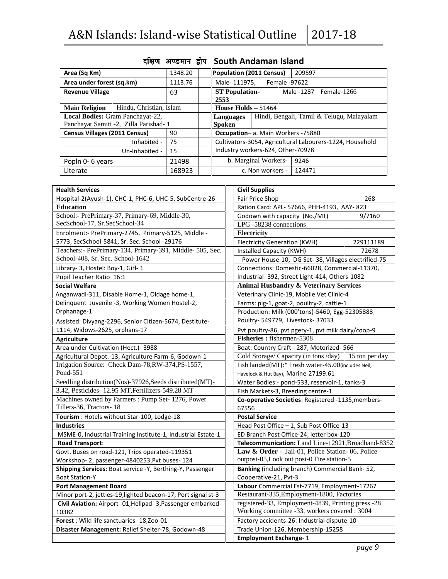| Area (Sq Km)                         |                                       | 1348.20 | <b>Population (2011 Census)</b><br>209597                |                      |  |                        |  |
|--------------------------------------|---------------------------------------|---------|----------------------------------------------------------|----------------------|--|------------------------|--|
| Area under forest (sq.km)            |                                       | 1113.76 | Male-111975, Female -97622                               |                      |  |                        |  |
| <b>Revenue Village</b>               |                                       | 63      | <b>ST Population-</b><br>2553                            |                      |  | Male -1287 Female-1266 |  |
| <b>Main Religion</b>                 | Hindu, Christian, Islam               |         | House Holds $-51464$                                     |                      |  |                        |  |
|                                      | Local Bodies: Gram Panchayat-22,      |         | Hindi, Bengali, Tamil & Telugu, Malayalam<br>Languages   |                      |  |                        |  |
|                                      | Panchayat Samiti -2, Zilla Parishad-1 |         | <b>Spoken</b>                                            |                      |  |                        |  |
| <b>Census Villages (2011 Census)</b> |                                       | 90      | Occupation- a. Main Workers -75880                       |                      |  |                        |  |
|                                      | Inhabited -                           | 75      | Cultivators-3054, Agricultural Labourers-1224, Household |                      |  |                        |  |
|                                      | Un-Inhabited -                        | 15      | Industry workers-624, Other-70978                        |                      |  |                        |  |
| Popln 0-6 years                      |                                       | 21498   |                                                          | b. Marginal Workers- |  | 9246                   |  |
| Literate                             |                                       | 168923  |                                                          | c. Non workers -     |  | 124471                 |  |

# **nf{k.k v.Meku }hi South Andaman Island**

| <b>Health Services</b>                                                      | <b>Civil Supplies</b>                                                                              |  |  |
|-----------------------------------------------------------------------------|----------------------------------------------------------------------------------------------------|--|--|
| Hospital-2(Ayush-1), CHC-1, PHC-6, UHC-5, SubCentre-26                      | Fair Price Shop<br>268                                                                             |  |  |
| <b>Education</b>                                                            | Ration Card: APL- 57666, PHH-4193, AAY- 823                                                        |  |  |
| School:- PrePrimary-37, Primary-69, Middle-30,                              | Godown with capacity (No./MT)<br>9/7160                                                            |  |  |
| SecSchool-17, Sr.SecSchool-34                                               | LPG-58238 connections                                                                              |  |  |
| Enrolment:- PrePrimary-2745, Primary-5125, Middle -                         | Electricity                                                                                        |  |  |
| 5773, SecSchool-5841, Sr. Sec. School -29176                                | <b>Electricity Generation (KWH)</b><br>229111189                                                   |  |  |
| Teachers:- PrePrimary-134, Primary-391, Middle- 505, Sec.                   | Installed Capacity (KWH)<br>72678                                                                  |  |  |
| School-408, Sr. Sec. School-1642                                            | Power House-10, DG Set-38, Villages electrified-75                                                 |  |  |
| Library- 3, Hostel: Boy-1, Girl- 1                                          | Connections: Domestic-66028, Commercial-11370,                                                     |  |  |
| Pupil Teacher Ratio 16:1                                                    | Industrial- 392, Street Light-414, Others-1082                                                     |  |  |
| <b>Social Welfare</b>                                                       | <b>Animal Husbandry &amp; Veterinary Services</b>                                                  |  |  |
| Anganwadi-311, Disable Home-1, Oldage home-1,                               | Veterinary Clinic-19, Mobile Vet Clinic-4                                                          |  |  |
| Delinquent Juvenile -3, Working Women Hostel-2,                             | Farms: pig-1, goat-2, poultry-2, cattle-1                                                          |  |  |
| Orphanage-1                                                                 | Production: Milk (000'tons)-5460, Egg-52305888,                                                    |  |  |
| Assisted: Divyang-2296, Senior Citizen-5674, Destitute-                     | Poultry- 549779, Livestock- 37033                                                                  |  |  |
| 1114, Widows-2625, orphans-17                                               | Pvt poultry-86, pvt pgery-1, pvt milk dairy/coop-9                                                 |  |  |
| <b>Agriculture</b>                                                          | Fisheries: fishermen-5308                                                                          |  |  |
| Area under Cultivation (Hect.) - 3988                                       | Boat: Country Craft - 287, Motorized- 566                                                          |  |  |
| Agricultural Depot.-13, Agriculture Farm-6, Godown-1                        | Cold Storage/ Capacity (in tons /day)   15 ton per day                                             |  |  |
| Irrigation Source: Check Dam-78, RW-374, PS-1557,                           | Fish landed(MT):* Fresh water-45.00(includes Neil,                                                 |  |  |
| Pond-551                                                                    | Havelock & Hut Bay), Marine-27199.61                                                               |  |  |
| Seedling distribution(Nos)-37926, Seeds distributed(MT)-                    | Water Bodies:- pond-533, reservoir-1, tanks-3                                                      |  |  |
| 3.42, Pesticides-12.95 MT, Fertilizers-549.28 MT                            | Fish Markets-3, Breeding centre-1                                                                  |  |  |
| Machines owned by Farmers: Pump Set- 1276, Power<br>Tillers-36, Tractors-18 | Co-operative Societies: Registered -1135, members-<br>67556                                        |  |  |
| Tourism : Hotels without Star-100, Lodge-18                                 | <b>Postal Service</b>                                                                              |  |  |
| <b>Industries</b>                                                           | Head Post Office - 1, Sub Post Office-13                                                           |  |  |
| MSME-0, Industrial Training Institute-1, Industrial Estate-1                | ED Branch Post Office-24, letter box-120                                                           |  |  |
| <b>Road Transport:</b>                                                      | Telecommunication: Land Line-12921, Broadband-8352                                                 |  |  |
| Govt. Buses on road-121, Trips operated-119351                              | Law & Order - Jail-01, Police Station-06, Police                                                   |  |  |
| Workshop- 2, passenger-4840253, Pvt buses- 124                              | outpost-05, Look out post-0 Fire station-5                                                         |  |  |
| Shipping Services: Boat service -Y, Berthing-Y, Passenger                   | Banking (including branch) Commercial Bank-52,                                                     |  |  |
| <b>Boat Station-Y</b>                                                       | Cooperative-21, Pvt-3                                                                              |  |  |
| <b>Port Management Board</b>                                                | Labour Commercial Est-7719, Employment-17267                                                       |  |  |
| Minor port-2, jetties-19, lighted beacon-17, Port signal st-3               | Restaurant-335, Employment-1800, Factories                                                         |  |  |
| Civil Aviation: Airport -01, Helipad - 3, Passenger embarked-<br>10382      | registered-33, Employment-4839, Printing press -28<br>Working committee -33, workers covered: 3004 |  |  |
| Forest: Wild life sanctuaries -18, Zoo-01                                   | Factory accidents-26: Industrial dispute-10                                                        |  |  |
| Disaster Management: Relief Shelter-78, Godown-48                           | Trade Union-126, Membership-15258                                                                  |  |  |
|                                                                             | <b>Employment Exchange-1</b>                                                                       |  |  |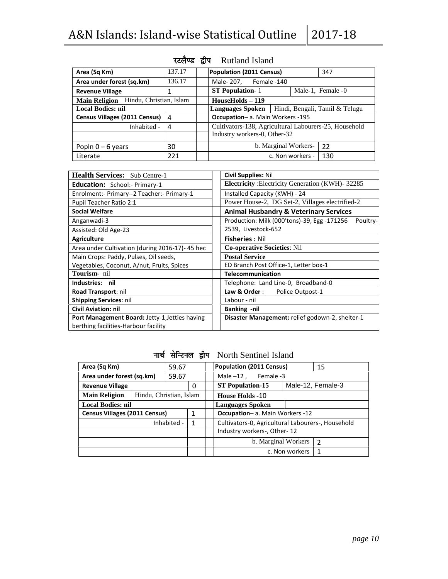| A&N Islands: Island-wise Statistical Outline 12017-18 |        |  |                                                       |  |                                |  |  |
|-------------------------------------------------------|--------|--|-------------------------------------------------------|--|--------------------------------|--|--|
|                                                       |        |  | रटलैण्ड द्वीप Rutland Island                          |  |                                |  |  |
| Area (Sq Km)                                          | 137.17 |  | Population (2011 Census)                              |  | 347                            |  |  |
| Area under forest (sq.km)                             | 136.17 |  | Male-207, Female-140                                  |  |                                |  |  |
| <b>Revenue Village</b>                                | 1      |  | <b>ST Population-1</b>                                |  | Male-1, Female -0              |  |  |
| Hindu, Christian, Islam<br>Main Religion              |        |  | $HouseHolds - 119$                                    |  |                                |  |  |
| <b>Local Bodies: nil</b>                              |        |  | <b>Languages Spoken</b>                               |  | Hindi, Bengali, Tamil & Telugu |  |  |
| Census Villages (2011 Census)                         | 4      |  | Occupation- a. Main Workers -195                      |  |                                |  |  |
| Inhabited -                                           | 4      |  | Cultivators-138, Agricultural Labourers-25, Household |  |                                |  |  |
|                                                       |        |  | Industry workers-0, Other-32                          |  |                                |  |  |
| Popln $0 - 6$ years                                   | 30     |  | b. Marginal Workers-                                  |  | 22                             |  |  |
| Literate                                              | 221    |  | c. Non workers -                                      |  | 130                            |  |  |

| <b>Health Services:</b> Sub Centre-1           | <b>Civil Supplies: Nil</b>                              |  |  |
|------------------------------------------------|---------------------------------------------------------|--|--|
| <b>Education:</b> School:- Primary-1           | Electricity : Electricity Generation (KWH)-32285        |  |  |
| Enrolment:- Primary--2 Teacher:- Primary-1     | Installed Capacity (KWH) - 24                           |  |  |
| Pupil Teacher Ratio 2:1                        | Power House-2, DG Set-2, Villages electrified-2         |  |  |
| <b>Social Welfare</b>                          | <b>Animal Husbandry &amp; Veterinary Services</b>       |  |  |
| Anganwadi-3                                    | Production: Milk (000'tons)-39, Egg -171256<br>Poultry- |  |  |
| Assisted: Old Age-23                           | 2539, Livestock-652                                     |  |  |
| <b>Agriculture</b>                             | <b>Fisheries: Nil</b>                                   |  |  |
| Area under Cultivation (during 2016-17)-45 hec | <b>Co-operative Societies: Nil</b>                      |  |  |
| Main Crops: Paddy, Pulses, Oil seeds,          | <b>Postal Service</b>                                   |  |  |
| Vegetables, Coconut, A/nut, Fruits, Spices     | ED Branch Post Office-1, Letter box-1                   |  |  |
| Tourism- nil                                   | <b>Telecommunication</b>                                |  |  |
| Industries:<br>nil                             | Telephone: Land Line-0, Broadband-0                     |  |  |
| Road Transport: nil                            | Law & Order :<br>Police Outpost-1                       |  |  |
| <b>Shipping Services: nil</b>                  | Labour - nil                                            |  |  |
| <b>Civil Aviation: nil</b>                     | Banking -nil                                            |  |  |
| Port Management Board: Jetty-1, Jetties having | Disaster Management: relief godown-2, shelter-1         |  |  |
| berthing facilities-Harbour facility           |                                                         |  |  |

### नार्थ सेन्टिनल द्वीप North Sentinel Island

| Area (Sq Km)                         |                         | 59.67 |   |                                 | Population (2011 Census)                          |                     | 15                |
|--------------------------------------|-------------------------|-------|---|---------------------------------|---------------------------------------------------|---------------------|-------------------|
| Area under forest (sq.km)            |                         | 59.67 |   |                                 | Female -3<br>Male $-12$ ,                         |                     |                   |
| <b>Revenue Village</b>               |                         |       | 0 |                                 | <b>ST Population-15</b>                           |                     | Male-12, Female-3 |
| <b>Main Religion</b>                 | Hindu, Christian, Islam |       |   |                                 | <b>House Holds -10</b>                            |                     |                   |
| <b>Local Bodies: nil</b>             |                         |       |   |                                 | <b>Languages Spoken</b>                           |                     |                   |
| <b>Census Villages (2011 Census)</b> |                         |       | 1 | Occupation- a. Main Workers -12 |                                                   |                     |                   |
|                                      | Inhabited -<br>1        |       |   |                                 | Cultivators-0, Agricultural Labourers-, Household |                     |                   |
|                                      |                         |       |   |                                 | Industry workers-, Other-12                       |                     |                   |
|                                      |                         |       |   |                                 |                                                   | b. Marginal Workers | $\overline{2}$    |
|                                      |                         |       |   |                                 |                                                   | c. Non workers      | 1                 |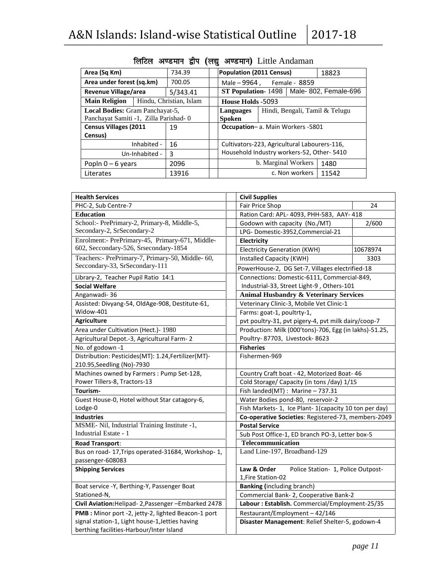| $12017 - 18$<br>&N Islands: Island-wise Statistical Outline<br>लिटिल अण्डमान द्वीप (लद्यू अण्डमान) Little Andaman |             |                         |  |                                           |                                              |       |  |  |  |
|-------------------------------------------------------------------------------------------------------------------|-------------|-------------------------|--|-------------------------------------------|----------------------------------------------|-------|--|--|--|
| Area (Sq Km)                                                                                                      |             | 734.39                  |  | <b>Population (2011 Census)</b>           |                                              | 18823 |  |  |  |
| Area under forest (sq.km)                                                                                         |             | 700.05                  |  |                                           | Male – 9964, Female - 8859                   |       |  |  |  |
| Revenue Village/area                                                                                              |             | 5/343.41                |  |                                           | ST Population-1498   Male-802, Female-696    |       |  |  |  |
| <b>Main Religion</b>                                                                                              |             | Hindu, Christian, Islam |  | <b>House Holds -5093</b>                  |                                              |       |  |  |  |
| <b>Local Bodies:</b> Gram Panchayat-5,                                                                            |             |                         |  | Languages                                 | Hindi, Bengali, Tamil & Telugu               |       |  |  |  |
| Panchayat Samiti -1, Zilla Parishad-0                                                                             |             |                         |  | <b>Spoken</b>                             |                                              |       |  |  |  |
| <b>Census Villages (2011</b>                                                                                      |             | 19                      |  |                                           | Occupation- a. Main Workers -5801            |       |  |  |  |
| Census)                                                                                                           |             |                         |  |                                           |                                              |       |  |  |  |
|                                                                                                                   | Inhabited - | 16                      |  |                                           | Cultivators-223, Agricultural Labourers-116, |       |  |  |  |
| Un-Inhabited -                                                                                                    |             | 3                       |  | Household Industry workers-52, Other-5410 |                                              |       |  |  |  |
| Popln $0 - 6$ years                                                                                               |             | 2096                    |  |                                           | b. Marginal Workers                          | 1480  |  |  |  |
| Literates                                                                                                         |             | 13916                   |  |                                           | c. Non workers                               | 11542 |  |  |  |

| <b>Health Services</b>                                                                      | <b>Civil Supplies</b>                                  |          |  |  |  |  |
|---------------------------------------------------------------------------------------------|--------------------------------------------------------|----------|--|--|--|--|
| PHC-2, Sub Centre-7                                                                         | <b>Fair Price Shop</b>                                 | 24       |  |  |  |  |
| <b>Education</b>                                                                            | Ration Card: APL- 4093, PHH-583, AAY- 418              |          |  |  |  |  |
| School:- PrePrimary-2, Primary-8, Middle-5,                                                 | 2/600<br>Godown with capacity (No./MT)                 |          |  |  |  |  |
| Secondary-2, SrSecondary-2                                                                  | LPG-Domestic-3952, Commercial-21                       |          |  |  |  |  |
| Enrolment:- PrePrimary-45, Primary-671, Middle-                                             | Electricity                                            |          |  |  |  |  |
| 602, Seccondary-526, Srsecondary-1854                                                       | <b>Electricity Generation (KWH)</b>                    | 10678974 |  |  |  |  |
| Teachers:- PrePrimary-7, Primary-50, Middle- 60,                                            | Installed Capacity (KWH)                               | 3303     |  |  |  |  |
| Seccondary-33, SrSecondary-111                                                              | PowerHouse-2, DG Set-7, Villages electrified-18        |          |  |  |  |  |
| Library-2, Teacher Pupil Ratio 14:1                                                         | Connections: Domestic-6111, Commercial-849,            |          |  |  |  |  |
| <b>Social Welfare</b>                                                                       | Industrial-33, Street Light-9, Others-101              |          |  |  |  |  |
| Anganwadi-36                                                                                | <b>Animal Husbandry &amp; Veterinary Services</b>      |          |  |  |  |  |
| Assisted: Divyang-54, OldAge-908, Destitute-61,                                             | Veterinary Clinic-3, Mobile Vet Clinic-1               |          |  |  |  |  |
| Widow-401                                                                                   | Farms: goat-1, poultrty-1,                             |          |  |  |  |  |
| <b>Agriculture</b>                                                                          | pvt poultry-31, pvt pigery-4, pvt milk dairy/coop-7    |          |  |  |  |  |
| Area under Cultivation (Hect.)-1980                                                         | Production: Milk (000'tons)-706, Egg (in lakhs)-51.25, |          |  |  |  |  |
| Agricultural Depot.-3, Agricultural Farm-2                                                  | Poultry-87703, Livestock-8623                          |          |  |  |  |  |
| No. of godown -1                                                                            | <b>Fisheries</b>                                       |          |  |  |  |  |
| Distribution: Pesticides(MT): 1.24, Fertilizer(MT)-                                         | Fishermen-969                                          |          |  |  |  |  |
| 210.95, Seedling (No)-7930                                                                  |                                                        |          |  |  |  |  |
| Machines owned by Farmers : Pump Set-128,                                                   | Country Craft boat - 42, Motorized Boat- 46            |          |  |  |  |  |
| Power Tillers-8, Tractors-13                                                                | Cold Storage/ Capacity (in tons /day) 1/15             |          |  |  |  |  |
| Tourism-                                                                                    | Fish landed(MT): Marine - 737.31                       |          |  |  |  |  |
| Guest House-0, Hotel without Star catagory-6,                                               | Water Bodies pond-80, reservoir-2                      |          |  |  |  |  |
| Lodge-0                                                                                     | Fish Markets-1, Ice Plant-1(capacity 10 ton per day)   |          |  |  |  |  |
| <b>Industries</b>                                                                           | Co-operative Societies: Registered-73, members-2049    |          |  |  |  |  |
| MSME- Nil, Industrial Training Institute -1,                                                | <b>Postal Service</b>                                  |          |  |  |  |  |
| <b>Industrial Estate - 1</b>                                                                | Sub Post Office-1, ED branch PO-3, Letter box-5        |          |  |  |  |  |
| <b>Road Transport:</b>                                                                      | Telecommunication                                      |          |  |  |  |  |
| Bus on road-17, Trips operated-31684, Workshop-1,<br>passenger-608083                       | Land Line-197, Broadband-129                           |          |  |  |  |  |
| <b>Shipping Services</b>                                                                    | Law & Order<br>Police Station- 1, Police Outpost-      |          |  |  |  |  |
|                                                                                             | 1, Fire Station-02                                     |          |  |  |  |  |
| Boat service -Y, Berthing-Y, Passenger Boat                                                 | <b>Banking (including branch)</b>                      |          |  |  |  |  |
| Stationed-N,                                                                                | Commercial Bank- 2, Cooperative Bank-2                 |          |  |  |  |  |
| Civil Aviation: Helipad- 2, Passenger - Embarked 2478                                       | Labour: Establish. Commercial/Employment-25/35         |          |  |  |  |  |
| PMB : Minor port -2, jetty-2, lighted Beacon-1 port                                         | Restaurant/Employment-42/146                           |          |  |  |  |  |
| signal station-1, Light house-1, Jetties having<br>berthing facilities-Harbour/Inter Island | Disaster Management: Relief Shelter-5, godown-4        |          |  |  |  |  |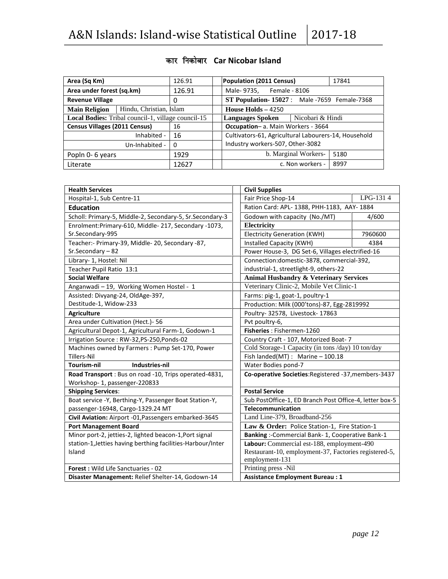| Area (Sq Km)                                       | 126.91      |        |                                                    | Population (2011 Census)                             |                      | 17841 |  |
|----------------------------------------------------|-------------|--------|----------------------------------------------------|------------------------------------------------------|----------------------|-------|--|
| Area under forest (sq.km)                          |             | 126.91 | Male-9735, Female - 8106                           |                                                      |                      |       |  |
| <b>Revenue Village</b>                             |             |        | <b>ST Population-15027:</b> Male -7659 Female-7368 |                                                      |                      |       |  |
| Hindu, Christian, Islam<br><b>Main Religion</b>    |             |        |                                                    | House Holds $-4250$                                  |                      |       |  |
| Local Bodies: Tribal council-1, village council-15 |             |        | Nicobari & Hindi<br>Languages Spoken               |                                                      |                      |       |  |
| <b>Census Villages (2011 Census)</b><br>16         |             |        |                                                    | Occupation-a. Main Workers - 3664                    |                      |       |  |
|                                                    | Inhabited - | 16     |                                                    | Cultivators-61, Agricultural Labourers-14, Household |                      |       |  |
| Un-Inhabited -<br>$\Omega$                         |             |        |                                                    | Industry workers-507, Other-3082                     |                      |       |  |
| 1929<br>Popln 0-6 years                            |             |        |                                                    |                                                      | b. Marginal Workers- | 5180  |  |
| Literate                                           |             | 12627  |                                                    |                                                      | c. Non workers -     | 8997  |  |

# **dkj fudksckj Car Nicobar Island**

| <b>Health Services</b>                                      | <b>Civil Supplies</b>                                                   |          |  |
|-------------------------------------------------------------|-------------------------------------------------------------------------|----------|--|
| Hospital-1, Sub Centre-11                                   | Fair Price Shop-14                                                      | LPG-1314 |  |
| <b>Education</b>                                            | Ration Card: APL- 1388, PHH-1183, AAY- 1884                             |          |  |
| Scholl: Primary-5, Middle-2, Secondary-5, Sr.Secondary-3    | Godown with capacity (No./MT)                                           | 4/600    |  |
| Enrolment:Primary-610, Middle-217, Secondary -1073,         | Electricity                                                             |          |  |
| Sr.Secondary-995                                            | <b>Electricity Generation (KWH)</b>                                     | 7960600  |  |
| Teacher:- Primary-39, Middle-20, Secondary -87,             | Installed Capacity (KWH)                                                | 4384     |  |
| Sr.Secondary-82                                             | Power House-3, DG Set-6, Villages electrified-16                        |          |  |
| Library- 1, Hostel: Nil                                     | Connection:domestic-3878, commercial-392,                               |          |  |
| Teacher Pupil Ratio 13:1                                    | industrial-1, streetlight-9, others-22                                  |          |  |
| <b>Social Welfare</b>                                       | <b>Animal Husbandry &amp; Veterinary Services</b>                       |          |  |
| Anganwadi - 19, Working Women Hostel - 1                    | Veterinary Clinic-2, Mobile Vet Clinic-1                                |          |  |
| Assisted: Divyang-24, OldAge-397,                           | Farms: pig-1, goat-1, poultry-1                                         |          |  |
| Destitude-1, Widow-233                                      | Production: Milk (000'tons)-87, Egg-2819992                             |          |  |
| <b>Agriculture</b>                                          | Poultry- 32578, Livestock- 17863                                        |          |  |
| Area under Cultivation (Hect.)- 56                          | Pvt poultry-6,                                                          |          |  |
| Agricultural Depot-1, Agricultural Farm-1, Godown-1         | Fisheries: Fishermen-1260                                               |          |  |
| Irrigation Source: RW-32,PS-250,Ponds-02                    | Country Craft - 107, Motorized Boat- 7                                  |          |  |
| Machines owned by Farmers : Pump Set-170, Power             | Cold Storage-1 Capacity (in tons /day) 10 ton/day                       |          |  |
| <b>Tillers-Nil</b>                                          | Fish landed(MT): Marine - 100.18                                        |          |  |
| Industries-nil<br>Tourism-nil                               | Water Bodies pond-7                                                     |          |  |
| Road Transport : Bus on road -10, Trips operated-4831,      | Co-operative Societies: Registered -37, members-3437                    |          |  |
| Workshop-1, passenger-220833                                |                                                                         |          |  |
| <b>Shipping Services:</b>                                   | <b>Postal Service</b>                                                   |          |  |
| Boat service -Y, Berthing-Y, Passenger Boat Station-Y,      | Sub PostOffice-1, ED Branch Post Office-4, letter box-5                 |          |  |
| passenger-16948, Cargo-1329.24 MT                           | <b>Telecommunication</b>                                                |          |  |
| Civil Aviation: Airport -01, Passengers embarked-3645       | Land Line-379, Broadband-256                                            |          |  |
| <b>Port Management Board</b>                                | Law & Order: Police Station-1, Fire Station-1                           |          |  |
| Minor port-2, jetties-2, lighted beacon-1, Port signal      | Banking :- Commercial Bank- 1, Cooperative Bank-1                       |          |  |
| station-1, Jetties having berthing facilities-Harbour/Inter | Labour: Commercial est-188, employment-490                              |          |  |
| Island                                                      | Restaurant-10, employment-37, Factories registered-5,<br>employment-131 |          |  |
| <b>Forest: Wild Life Sanctuaries - 02</b>                   | Printing press -Nil                                                     |          |  |
| Disaster Management: Relief Shelter-14, Godown-14           | <b>Assistance Employment Bureau: 1</b>                                  |          |  |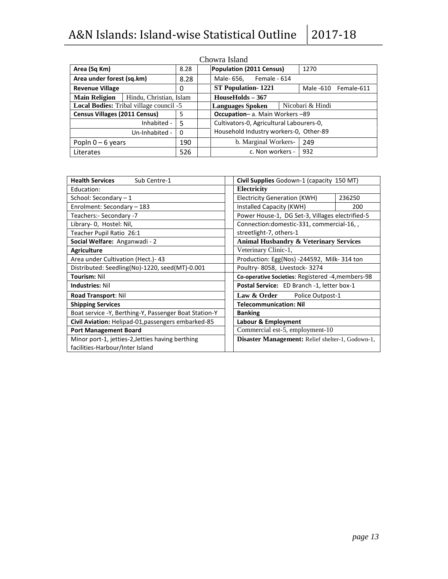|                                      |                                                |          | Chowra Island                                     |
|--------------------------------------|------------------------------------------------|----------|---------------------------------------------------|
| Area (Sq Km)                         |                                                | 8.28     | <b>Population (2011 Census)</b><br>1270           |
| Area under forest (sq.km)            |                                                | 8.28     | Male- 656, Female - 614                           |
| <b>Revenue Village</b>               |                                                | 0        | <b>ST Population-1221</b><br>Male -610 Female-611 |
| <b>Main Religion</b>                 | Hindu, Christian, Islam                        |          | $HouseHolds - 367$                                |
|                                      | <b>Local Bodies:</b> Tribal village council -5 |          | Nicobari & Hindi<br><b>Languages Spoken</b>       |
| <b>Census Villages (2011 Census)</b> |                                                | 5        | <b>Occupation-</b> a. Main Workers -89            |
|                                      | Inhabited -                                    | .5       | Cultivators-0, Agricultural Labourers-0,          |
|                                      | Un-Inhabited -                                 | $\Omega$ | Household Industry workers-0, Other-89            |
| Popln $0 - 6$ years                  |                                                | 190      | b. Marginal Workers-<br>249                       |
| Literates                            |                                                | 526      | 932<br>c. Non workers -                           |

| <b>Health Services</b><br>Sub Centre-1                                              | Civil Supplies Godown-1 (capacity 150 MT)         |  |  |  |
|-------------------------------------------------------------------------------------|---------------------------------------------------|--|--|--|
| Education:                                                                          | Electricity                                       |  |  |  |
| School: Secondary $-1$                                                              | 236250<br>Electricity Generation (KWH)            |  |  |  |
| Enrolment: Secondary - 183                                                          | Installed Capacity (KWH)<br>200                   |  |  |  |
| Teachers:- Secondary -7                                                             | Power House-1, DG Set-3, Villages electrified-5   |  |  |  |
| Library- 0, Hostel: Nil,                                                            | Connection: domestic-331, commercial-16,          |  |  |  |
| Teacher Pupil Ratio 26:1                                                            | streetlight-7, others-1                           |  |  |  |
| Social Welfare: Anganwadi - 2                                                       | <b>Animal Husbandry &amp; Veterinary Services</b> |  |  |  |
| <b>Agriculture</b>                                                                  | Veterinary Clinic-1,                              |  |  |  |
| Area under Cultivation (Hect.) - 43                                                 | Production: Egg(Nos) -244592, Milk-314 ton        |  |  |  |
| Distributed: Seedling(No)-1220, seed(MT)-0.001                                      | Poultry-8058, Livestock-3274                      |  |  |  |
| <b>Tourism: Nil</b>                                                                 | Co-operative Societies: Registered -4, members-98 |  |  |  |
| <b>Industries: Nil</b>                                                              | Postal Service: ED Branch -1, letter box-1        |  |  |  |
| Road Transport: Nil                                                                 | Law & Order<br>Police Outpost-1                   |  |  |  |
| <b>Shipping Services</b>                                                            | <b>Telecommunication: Nil</b>                     |  |  |  |
| Boat service -Y, Berthing-Y, Passenger Boat Station-Y                               | <b>Banking</b>                                    |  |  |  |
| Civil Aviation: Helipad-01, passengers embarked-85                                  | Labour & Employment                               |  |  |  |
| <b>Port Management Board</b>                                                        | Commercial est-5, employment-10                   |  |  |  |
| Minor port-1, jetties-2, Jetties having berthing<br>facilities-Harbour/Inter Island | Disaster Management: Relief shelter-1, Godown-1,  |  |  |  |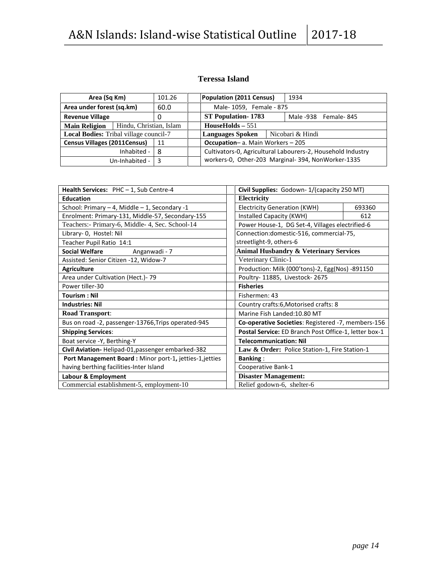### **Teressa Island**

| Area (Sq Km)<br>101.26                 |                         | Population (2011 Census)                    |                                                             | 1934 |  |
|----------------------------------------|-------------------------|---------------------------------------------|-------------------------------------------------------------|------|--|
| Area under forest (sq.km)              |                         | 60.0                                        | Male-1059, Female - 875                                     |      |  |
| <b>Revenue Village</b>                 |                         | 0                                           | <b>ST Population-1783</b><br>Male -938 Female-845           |      |  |
| <b>Main Religion</b>                   | Hindu, Christian, Islam |                                             | $HouseHolds - 551$                                          |      |  |
| Local Bodies: Tribal village council-7 |                         | Nicobari & Hindi<br><b>Languages Spoken</b> |                                                             |      |  |
| <b>Census Villages (2011Census)</b>    |                         | 11                                          | <b>Occupation-a. Main Workers - 205</b>                     |      |  |
|                                        | Inhabited -             | 8                                           | Cultivators-0, Agricultural Labourers-2, Household Industry |      |  |
|                                        | Un-Inhabited -          | 3                                           | workers-0, Other-203 Marginal-394, NonWorker-1335           |      |  |

| Civil Supplies: Godown-1/(capacity 250 MT)<br><b>Health Services:</b> $PHC - 1$ , Sub Centre-4 |                                                       |     |  |  |
|------------------------------------------------------------------------------------------------|-------------------------------------------------------|-----|--|--|
| <b>Education</b>                                                                               | Electricity                                           |     |  |  |
| School: Primary - 4, Middle - 1, Secondary -1                                                  | Electricity Generation (KWH)<br>693360                |     |  |  |
| Enrolment: Primary-131, Middle-57, Secondary-155                                               | Installed Capacity (KWH)                              | 612 |  |  |
| Teachers: - Primary-6, Middle- 4, Sec. School-14                                               | Power House-1, DG Set-4, Villages electrified-6       |     |  |  |
| Library- 0, Hostel: Nil                                                                        | Connection: domestic-516, commercial-75,              |     |  |  |
| Teacher Pupil Ratio 14:1                                                                       | streetlight-9, others-6                               |     |  |  |
| <b>Social Welfare</b><br>Anganwadi - 7                                                         | <b>Animal Husbandry &amp; Veterinary Services</b>     |     |  |  |
| Assisted: Senior Citizen -12, Widow-7                                                          | Veterinary Clinic-1                                   |     |  |  |
| <b>Agriculture</b>                                                                             | Production: Milk (000'tons)-2, Egg(Nos) -891150       |     |  |  |
| Area under Cultivation (Hect.) - 79                                                            | Poultry- 11885, Livestock- 2675                       |     |  |  |
| Power tiller-30                                                                                | <b>Fisheries</b>                                      |     |  |  |
| <b>Tourism: Nil</b>                                                                            | Fishermen: 43                                         |     |  |  |
| <b>Industries: Nil</b>                                                                         | Country crafts:6, Motorised crafts: 8                 |     |  |  |
| <b>Road Transport:</b>                                                                         | Marine Fish Landed: 10.80 MT                          |     |  |  |
| Bus on road -2, passenger-13766, Trips operated-945                                            | Co-operative Societies: Registered -7, members-156    |     |  |  |
| <b>Shipping Services:</b>                                                                      | Postal Service: ED Branch Post Office-1, letter box-1 |     |  |  |
| Boat service -Y, Berthing-Y                                                                    | <b>Telecommunication: Nil</b>                         |     |  |  |
| Civil Aviation-Helipad-01, passenger embarked-382                                              | Law & Order: Police Station-1, Fire Station-1         |     |  |  |
| Port Management Board : Minor port-1, jetties-1, jetties                                       | <b>Banking:</b>                                       |     |  |  |
| having berthing facilities-Inter Island                                                        | Cooperative Bank-1                                    |     |  |  |
| Labour & Employment                                                                            | <b>Disaster Management:</b>                           |     |  |  |
| Commercial establishment-5, employment-10                                                      | Relief godown-6, shelter-6                            |     |  |  |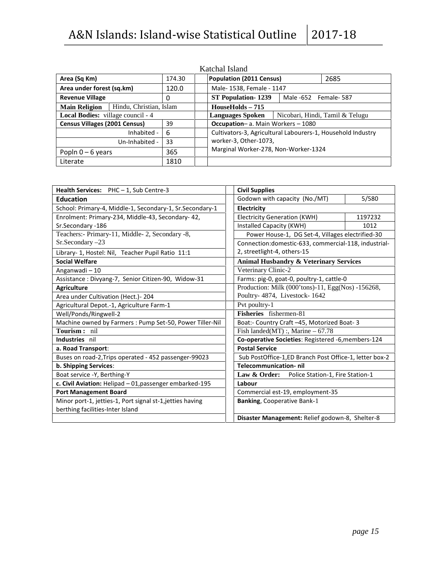|                                                 |             |       | Katchal Island                                              |  |  |  |  |
|-------------------------------------------------|-------------|-------|-------------------------------------------------------------|--|--|--|--|
| Area (Sq Km)<br>174.30                          |             |       | <b>Population (2011 Census)</b><br>2685                     |  |  |  |  |
| Area under forest (sq.km)                       |             | 120.0 | Male- 1538, Female - 1147                                   |  |  |  |  |
| <b>Revenue Village</b>                          |             | 0     | <b>ST Population-1239</b><br>Male -652 Female- 587          |  |  |  |  |
| Hindu, Christian, Islam<br><b>Main Religion</b> |             |       | $HouseHolds - 715$                                          |  |  |  |  |
| <b>Local Bodies:</b> village council - 4        |             |       | Nicobari, Hindi, Tamil & Telugu<br><b>Languages Spoken</b>  |  |  |  |  |
| <b>Census Villages (2001 Census)</b>            |             | 39    | <b>Occupation-</b> a. Main Workers - 1080                   |  |  |  |  |
|                                                 | Inhabited - | 6     | Cultivators-3, Agricultural Labourers-1, Household Industry |  |  |  |  |
| 33<br>Un-Inhabited -                            |             |       | worker-3, Other-1073,                                       |  |  |  |  |
| 365<br>Popln $0 - 6$ years                      |             |       | Marginal Worker-278, Non-Worker-1324                        |  |  |  |  |
| 1810<br>Literate                                |             |       |                                                             |  |  |  |  |

| Health Services: PHC-1, Sub Centre-3                     | <b>Civil Supplies</b>                                  |         |  |  |
|----------------------------------------------------------|--------------------------------------------------------|---------|--|--|
| <b>Education</b>                                         | Godown with capacity (No./MT)                          | 5/580   |  |  |
| School: Primary-4, Middle-1, Secondary-1, Sr.Secondary-1 | Electricity                                            |         |  |  |
| Enrolment: Primary-234, Middle-43, Secondary- 42,        | <b>Electricity Generation (KWH)</b>                    | 1197232 |  |  |
| Sr.Secondary -186                                        | Installed Capacity (KWH)                               | 1012    |  |  |
| Teachers:- Primary-11, Middle-2, Secondary -8,           | Power House-1, DG Set-4, Villages electrified-30       |         |  |  |
| Sr.Secondary -23                                         | Connection: domestic-633, commercial-118, industrial-  |         |  |  |
| Library- 1, Hostel: Nil, Teacher Pupil Ratio 11:1        | 2, streetlight-4, others-15                            |         |  |  |
| <b>Social Welfare</b>                                    | <b>Animal Husbandry &amp; Veterinary Services</b>      |         |  |  |
| Anganwadi-10                                             | Veterinary Clinic-2                                    |         |  |  |
| Assistance: Divyang-7, Senior Citizen-90, Widow-31       | Farms: pig-0, goat-0, poultry-1, cattle-0              |         |  |  |
| <b>Agriculture</b>                                       | Production: Milk (000'tons)-11, Egg(Nos) -156268,      |         |  |  |
| Area under Cultivation (Hect.) - 204                     | Poultry- 4874, Livestock- 1642                         |         |  |  |
| Agricultural Depot.-1, Agriculture Farm-1                | Pvt poultry-1                                          |         |  |  |
| Well/Ponds/Ringwell-2                                    | Fisheries fishermen-81                                 |         |  |  |
| Machine owned by Farmers : Pump Set-50, Power Tiller-Nil | Boat:- Country Craft -45, Motorized Boat-3             |         |  |  |
| Tourism: nil                                             | Fish landed(MT) :, Marine $-67.78$                     |         |  |  |
| Industries nil                                           | Co-operative Societies: Registered -6, members-124     |         |  |  |
| a. Road Transport:                                       | <b>Postal Service</b>                                  |         |  |  |
| Buses on road-2, Trips operated - 452 passenger-99023    | Sub PostOffice-1,ED Branch Post Office-1, letter box-2 |         |  |  |
| b. Shipping Services:                                    | <b>Telecommunication-nil</b>                           |         |  |  |
| Boat service -Y, Berthing-Y                              | Law & Order: Police Station-1, Fire Station-1          |         |  |  |
| c. Civil Aviation: Helipad - 01, passenger embarked-195  | Labour                                                 |         |  |  |
| <b>Port Management Board</b>                             | Commercial est-19, employment-35                       |         |  |  |
| Minor port-1, jetties-1, Port signal st-1,jetties having | <b>Banking, Cooperative Bank-1</b>                     |         |  |  |
| berthing facilities-Inter Island                         |                                                        |         |  |  |
|                                                          | Disaster Management: Relief godown-8, Shelter-8        |         |  |  |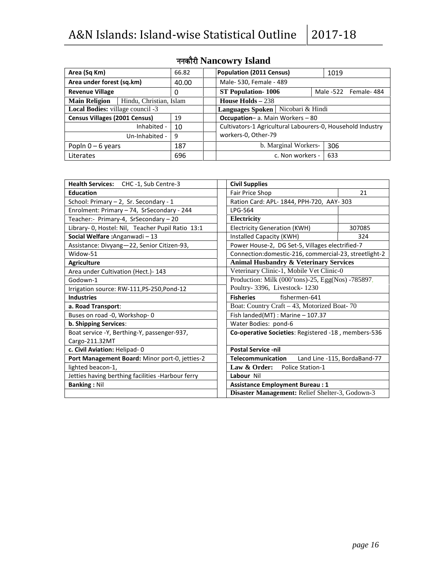| Area (Sq Km)                                    |             | 66.82 | <b>Population (2011 Census)</b>                            | 1019 |     |  |  |  |
|-------------------------------------------------|-------------|-------|------------------------------------------------------------|------|-----|--|--|--|
| Area under forest (sq.km)<br>40.00              |             |       | Male- 530, Female - 489                                    |      |     |  |  |  |
| <b>Revenue Village</b>                          |             | 0     | <b>ST Population-1006</b><br>Male -522 Female- 484         |      |     |  |  |  |
| Hindu, Christian, Islam<br><b>Main Religion</b> |             |       | House Holds $-238$                                         |      |     |  |  |  |
| Local Bodies: village council -3                |             |       | Languages Spoken   Nicobari & Hindi                        |      |     |  |  |  |
| <b>Census Villages (2001 Census)</b>            |             | 19    | <b>Occupation-a.</b> Main Workers - 80                     |      |     |  |  |  |
|                                                 | Inhabited - | 10    | Cultivators-1 Agricultural Labourers-0, Household Industry |      |     |  |  |  |
| 9<br>Un-Inhabited -                             |             |       | workers-0, Other-79                                        |      |     |  |  |  |
| 187<br>Popln $0 - 6$ years                      |             |       | b. Marginal Workers-                                       |      | 306 |  |  |  |
| Literates                                       |             | 696   | c. Non workers -                                           |      | 633 |  |  |  |

# **uudkSjh Nancowry Island**

| Health Services: CHC-1, Sub Centre-3              |                                  | <b>Civil Supplies</b>                                  |                              |  |
|---------------------------------------------------|----------------------------------|--------------------------------------------------------|------------------------------|--|
| <b>Education</b>                                  |                                  | Fair Price Shop                                        | 21                           |  |
| School: Primary - 2, Sr. Secondary - 1            |                                  | Ration Card: APL- 1844, PPH-720, AAY- 303              |                              |  |
| Enrolment: Primary - 74, SrSecondary - 244        |                                  | LPG-564                                                |                              |  |
| Teacher:- Primary-4, SrSecondary - 20             |                                  | Electricity                                            |                              |  |
| Library- 0, Hostel: Nil, Teacher Pupil Ratio 13:1 |                                  | <b>Electricity Generation (KWH)</b>                    | 307085                       |  |
| Social Welfare: Anganwadi - 13                    |                                  | Installed Capacity (KWH)                               | 324                          |  |
| Assistance: Divyang-22, Senior Citizen-93,        |                                  | Power House-2, DG Set-5, Villages electrified-7        |                              |  |
| Widow-51                                          |                                  | Connection: domestic-216, commercial-23, streetlight-2 |                              |  |
| <b>Agriculture</b>                                |                                  | <b>Animal Husbandry &amp; Veterinary Services</b>      |                              |  |
| Area under Cultivation (Hect.) - 143              |                                  | Veterinary Clinic-1, Mobile Vet Clinic-0               |                              |  |
| Godown-1                                          |                                  | Production: Milk (000'tons)-25, Egg(Nos) -785897,      |                              |  |
| Irrigation source: RW-111,PS-250,Pond-12          |                                  | Poultry- 3396, Livestock- 1230                         |                              |  |
| <b>Industries</b>                                 |                                  | <b>Fisheries</b><br>fishermen-641                      |                              |  |
| a. Road Transport:                                |                                  | Boat: Country Craft - 43, Motorized Boat-70            |                              |  |
| Buses on road -0, Workshop-0                      |                                  | Fish landed(MT): Marine - 107.37                       |                              |  |
| b. Shipping Services:                             |                                  | Water Bodies: pond-6                                   |                              |  |
| Boat service -Y, Berthing-Y, passenger-937,       |                                  | Co-operative Societies: Registered -18, members-536    |                              |  |
| Cargo-211.32MT                                    |                                  |                                                        |                              |  |
| c. Civil Aviation: Helipad-0                      |                                  | <b>Postal Service -nil</b>                             |                              |  |
| Port Management Board: Minor port-0, jetties-2    |                                  | Telecommunication                                      | Land Line -115, BordaBand-77 |  |
| lighted beacon-1,                                 | Law & Order:<br>Police Station-1 |                                                        |                              |  |
| Jetties having berthing facilities -Harbour ferry |                                  | Labour Nil                                             |                              |  |
| <b>Banking: Nil</b>                               |                                  | <b>Assistance Employment Bureau: 1</b>                 |                              |  |
|                                                   |                                  | Disaster Management: Relief Shelter-3, Godown-3        |                              |  |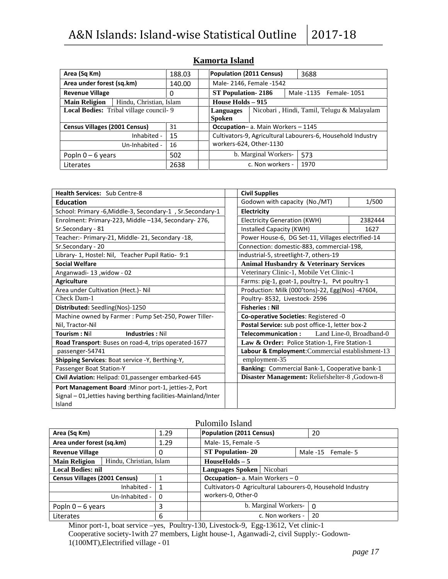| Area (Sq Km)                                  |                         | 188.03 |                                                             | <b>Population (2011 Census)</b><br>3688 |  |                          |  |
|-----------------------------------------------|-------------------------|--------|-------------------------------------------------------------|-----------------------------------------|--|--------------------------|--|
| Area under forest (sq.km)                     |                         | 140.00 |                                                             | Male-2146, Female -1542                 |  |                          |  |
| <b>Revenue Village</b>                        |                         | 0      | <b>ST Population-2186</b>                                   |                                         |  | Male -1135 Female - 1051 |  |
| <b>Main Religion</b>                          | Hindu, Christian, Islam |        | House Holds $-915$                                          |                                         |  |                          |  |
| <b>Local Bodies:</b> Tribal village council-9 |                         |        | Nicobari, Hindi, Tamil, Telugu & Malayalam<br>Languages     |                                         |  |                          |  |
|                                               |                         |        | <b>Spoken</b>                                               |                                         |  |                          |  |
| <b>Census Villages (2001 Census)</b>          |                         | 31     | <b>Occupation-</b> a. Main Workers - 1145                   |                                         |  |                          |  |
|                                               | Inhabited -             | 15     | Cultivators-9, Agricultural Labourers-6, Household Industry |                                         |  |                          |  |
| 16<br>Un-Inhabited -                          |                         |        | workers-624, Other-1130                                     |                                         |  |                          |  |
| Popln $0 - 6$ years                           |                         | 502    | b. Marginal Workers-<br>573                                 |                                         |  |                          |  |
| Literates                                     |                         | 2638   |                                                             | c. Non workers -                        |  | 1970                     |  |

### **Kamorta Island**

| <b>Health Services: Sub Centre-8</b>                           | <b>Civil Supplies</b>                             |                          |  |  |  |
|----------------------------------------------------------------|---------------------------------------------------|--------------------------|--|--|--|
| <b>Education</b>                                               | Godown with capacity (No./MT)                     | 1/500                    |  |  |  |
| School: Primary -6, Middle-3, Secondary-1, Sr. Secondary-1     | Electricity                                       |                          |  |  |  |
| Enrolment: Primary-223, Middle -134, Secondary-276,            | <b>Electricity Generation (KWH)</b>               | 2382444                  |  |  |  |
| Sr.Secondary - 81                                              | Installed Capacity (KWH)                          | 1627                     |  |  |  |
| Teacher:- Primary-21, Middle- 21, Secondary -18,               | Power House-6, DG Set-11, Villages electrified-14 |                          |  |  |  |
| Sr.Secondary - 20                                              | Connection: domestic-883, commercial-198,         |                          |  |  |  |
| Library- 1, Hostel: Nil, Teacher Pupil Ratio- 9:1              | industrial-5, streetlight-7, others-19            |                          |  |  |  |
| <b>Social Welfare</b>                                          | <b>Animal Husbandry &amp; Veterinary Services</b> |                          |  |  |  |
| Anganwadi-13, widow - 02                                       | Veterinary Clinic-1, Mobile Vet Clinic-1          |                          |  |  |  |
| <b>Agriculture</b>                                             | Farms: pig-1, goat-1, poultry-1, Pvt poultry-1    |                          |  |  |  |
| Area under Cultivation (Hect.) - Nil                           | Production: Milk (000'tons)-22, Egg(Nos) -47604,  |                          |  |  |  |
| Check Dam-1                                                    | Poultry-8532, Livestock-2596                      |                          |  |  |  |
| Distributed: Seedling(Nos)-1250                                | <b>Fisheries: Nil</b>                             |                          |  |  |  |
| Machine owned by Farmer: Pump Set-250, Power Tiller-           | Co-operative Societies: Registered -0             |                          |  |  |  |
| Nil, Tractor-Nil                                               | Postal Service: sub post office-1, letter box-2   |                          |  |  |  |
| Tourism: Nil<br><b>Industries: Nil</b>                         | <b>Telecommunication:</b>                         | Land Line-0, Broadband-0 |  |  |  |
| Road Transport: Buses on road-4, trips operated-1677           | Law & Order: Police Station-1, Fire Station-1     |                          |  |  |  |
| passenger-54741                                                | Labour & Employment: Commercial establishment-13  |                          |  |  |  |
| <b>Shipping Services: Boat service -Y, Berthing-Y,</b>         | employment-35                                     |                          |  |  |  |
| Passenger Boat Station-Y                                       | Banking: Commercial Bank-1, Cooperative bank-1    |                          |  |  |  |
| Civil Aviation: Helipad: 01, passenger embarked-645            | Disaster Management: Reliefshelter-8, Godown-8    |                          |  |  |  |
| Port Management Board : Minor port-1, jetties-2, Port          |                                                   |                          |  |  |  |
| Signal - 01, Jetties having berthing facilities-Mainland/Inter |                                                   |                          |  |  |  |
| Island                                                         |                                                   |                          |  |  |  |

### Pulomilo Island

| Area (Sq Km)                                    |             | 1.29 | <b>Population (2011 Census)</b><br>20                      |  |  |  |  |
|-------------------------------------------------|-------------|------|------------------------------------------------------------|--|--|--|--|
| Area under forest (sq.km)                       |             | 1.29 | Male-15, Female -5                                         |  |  |  |  |
| <b>Revenue Village</b>                          |             |      | <b>ST Population-20</b><br>Male -15 Female- 5              |  |  |  |  |
| Hindu, Christian, Islam<br><b>Main Religion</b> |             |      | $HouseHolds - 5$                                           |  |  |  |  |
| <b>Local Bodies: nil</b>                        |             |      | Languages Spoken   Nicobari                                |  |  |  |  |
| <b>Census Villages (2001 Census)</b>            |             |      | <b>Occupation-</b> a. Main Workers $-0$                    |  |  |  |  |
|                                                 | Inhabited - |      | Cultivators-0 Agricultural Labourers-0, Household Industry |  |  |  |  |
| Un-Inhabited -                                  |             | - 0  | workers-0, Other-0                                         |  |  |  |  |
| Popln $0 - 6$ years                             |             | 3    | b. Marginal Workers-<br>$\Omega$                           |  |  |  |  |
| Literates                                       |             | 6    | 20<br>c. Non workers -                                     |  |  |  |  |

Minor port-1, boat service –yes, Poultry-130, Livestock-9, Egg-13612, Vet clinic-1 Cooperative society-1with 27 members, Light house-1, Aganwadi-2, civil Supply:- Godown- 1(100MT),Electrified village - 01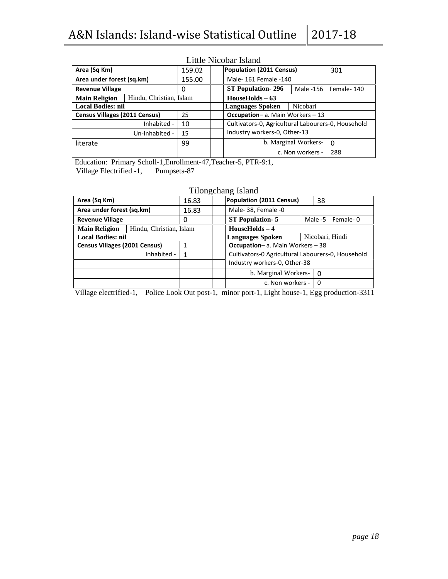|                                                 |             |    | Little President Roland                            |                      |          |  |
|-------------------------------------------------|-------------|----|----------------------------------------------------|----------------------|----------|--|
| Area (Sq Km)<br>159.02                          |             |    | Population (2011 Census)                           | 301                  |          |  |
| Area under forest (sq.km)<br>155.00             |             |    | Male- 161 Female -140                              |                      |          |  |
| <b>Revenue Village</b>                          |             | 0  | <b>ST Population-296</b><br>Male -156 Female-140   |                      |          |  |
| Hindu, Christian, Islam<br><b>Main Religion</b> |             |    | $HouseHolds - 63$                                  |                      |          |  |
| <b>Local Bodies: nil</b>                        |             |    | Nicobari<br><b>Languages Spoken</b>                |                      |          |  |
| <b>Census Villages (2011 Census)</b>            |             | 25 | <b>Occupation-a.</b> Main Workers - 13             |                      |          |  |
|                                                 | Inhabited - | 10 | Cultivators-0, Agricultural Labourers-0, Household |                      |          |  |
| 15<br>Un-Inhabited -                            |             |    | Industry workers-0, Other-13                       |                      |          |  |
| 99<br>literate                                  |             |    |                                                    | b. Marginal Workers- | $\Omega$ |  |
|                                                 |             |    |                                                    | c. Non workers -     | 288      |  |

### Little Nicobar Island

Education: Primary Scholl-1,Enrollment-47,Teacher-5, PTR-9:1,<br>Village Electrified -1, Pumpsets-87 Village Electrified -1,

| Tilongchang Island |  |
|--------------------|--|
|--------------------|--|

| 16.83                   | <b>Population (2011 Census)</b>                   | 38                  |  |  |  |  |
|-------------------------|---------------------------------------------------|---------------------|--|--|--|--|
| 16.83                   | Male-38, Female -0                                |                     |  |  |  |  |
| 0                       | <b>ST Population-5</b>                            | Male -5<br>Female-0 |  |  |  |  |
| Hindu, Christian, Islam | $HouseHolds - 4$                                  |                     |  |  |  |  |
|                         | <b>Languages Spoken</b>                           | Nicobari, Hindi     |  |  |  |  |
|                         | <b>Occupation-a.</b> Main Workers - 38            |                     |  |  |  |  |
| 1                       | Cultivators-0 Agricultural Labourers-0, Household |                     |  |  |  |  |
|                         | Industry workers-0, Other-38                      |                     |  |  |  |  |
|                         | b. Marginal Workers-                              | $\Omega$            |  |  |  |  |
|                         | c. Non workers -                                  | $\Omega$            |  |  |  |  |
|                         |                                                   |                     |  |  |  |  |

Village electrified-1, Police Look Out post-1, minor port-1, Light house-1, Egg production-3311